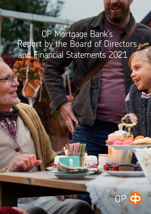# OP Mortgage Bank's Report by the Board of Directors, and Financial Statements 2021

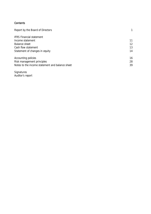# **Contents**

| Report by the Board of Directors                |    |
|-------------------------------------------------|----|
| <b>IFRS Financial statement</b>                 |    |
| Income statement                                | 11 |
| Balance sheet                                   | 12 |
| Cash flow statement                             | 13 |
| Statement of changes in equity                  | 14 |
| Accounting policies                             | 16 |
| Risk management principles                      | 28 |
| Notes to the income statement and balance sheet | 39 |

Signatures Auditor's report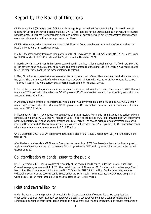# Report by the Board of Directors

OP Mortgage Bank (OP MB) is part of OP Financial Group. Together with OP Corporate Bank plc, its role is to raise funding for OP from money and capital markets. OP MB is responsible for the Group's funding with regard to covered bond issuance. OP MB has no independent customer business or service network, but OP cooperative banks manage customer relationships and loan management at local level.

OP MB either underwrites intermediary loans on OP Financial Group member cooperative banks' balance sheets or buys the home loans in security for bonds.

In 2021, the intermediary loans and loan portfolio of OP MB increased to EUR 18,275 million (15,326)\*. Bonds issued by OP MB totalled EUR 16,415 million (13,665) at the end of December 2021.

In March, OP MB issued Finland's first green covered bond in the international capital market. The fixed-rate EUR 750 million covered bond had a maturity of 10 years. Out of the proceeds of the bond, EUR 520 million was intermediated to 42 OP cooperative banks in the form of intermediary loans.

In May, OP MB issued three floating-rate covered bonds in the amount of one billion euros each and with a maturity of two years. The entire proceeds of the bond were intermediated as intermediary loans to 113 OP cooperative banks. The bond issues in May were performed as internal issues within OP Financial Group.

In September, a new extension of an intermediary loan model was performed on a bond issued in March 2021 that will mature in 2031. As part of this extension, OP MB provided 15 OP cooperative banks with intermediary loans at a total amount of EUR 230 million.

In October, a new extension of an intermediary loan model was performed on a bond issued in January 2020 that will mature in 2028. As part of this extension, OP MB provided six OP cooperative banks with intermediary loans at a total amount of EUR 16 million.

In November, OP MB carried out two new extensions of an intermediary loan model. The first one was performed on a bond issued in February 2019 that will mature in 2029. As part of this extension, OP MB provided eight OP cooperative banks with intermediary loans at a total amount of EUR 65 million. The second extension was performed on a bond issued in November 2019 that will mature in 2026. As part of this extension, OP MB provided 11 OP cooperative banks with intermediary loans at a total amount of EUR 70 million.

On 31 December 2021, 118 OP cooperative banks had a total of EUR 14,691 million (10,790) in intermediary loans from OP MB.

After the balance sheet date, OP Financial Group decided to apply an RWA floor based on the standardised approach. Application of the floor is expected to decrease OP Mortgage Bank's CET1 ratio by around 30 per cent in the second quarter of 2022.

# Collateralisation of bonds issued to the public

On 31 December 2021, loans as collateral in security of the covered bonds issued under the Euro Medium Term Covered Note programme worth EUR 20 billion established on 12 November 2010 under the Act on Mortgage Credit Banks (Laki kiinnitysluottopankkitoiminnasta 688/2010) totalled EUR 15,841 million. On the same date, loans as collateral in security of the covered bonds issued under the Euro Medium Term Retained Covered Note programme worth EUR 10 billion established on 15 June 2020 totalled EUR 3,587 million.

# Joint and several liability

Under the Act on the Amalgamation of Deposit Banks, the amalgamation of cooperative banks comprises the organisation's central cooperative (OP Cooperative), the central cooperative's member credit institutions and the companies belonging to their consolidation groups as well as credit and financial institutions and service companies in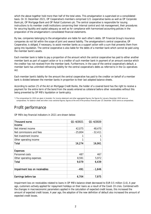which the above together hold more than half of the total votes. This amalgamation is supervised on a consolidated basis. On 31 December 2021, OP Cooperative's members comprised 121 cooperative banks as well as OP Corporate Bank plc, OP Mortgage Bank and OP Retail Customers plc. The central cooperative is responsible for issuing instructions to its member credit institutions concerning their internal control and risk management, their procedures for securing liquidity and capital adequacy as well as for compliance with harmonised accounting policies in the preparation of the amalgamation's consolidated financial statements.

By law, companies belonging to the amalgamation are liable for each other's debts. OP Financial Group's insurance companies do not fall within the scope of joint and several liability. The amalgamation's central cooperative, OP Cooperative, is obliged, if necessary, to assist member banks as a support action with a sum that prevents them from going into liquidation. The central cooperative is also liable for the debts of a member bank which cannot be paid using the member bank's assets.

Each member bank is liable to pay a proportion of the amount which the central cooperative has paid to either another member bank as part of support action or to a creditor of such member bank in payment of an amount overdue which the creditor has not received from the member bank. Furthermore, in the case of the central cooperative's default, a member bank has unlimited refinancing liability for the central cooperative's debts as referred to in the Co-operatives Act.

Each member bank's liability for the amount the central cooperative has paid to the creditor on behalf of a member bank is divided between the member banks in proportion to their last adopted balance sheets.

According to section 25 of the Act on Mortgage Credit Banks, the holder of a covered bond has the right to receive a payment for the entire term of the bond from the assets entered as collateral before other receivables without this being prevented by OP MB's liquidation or bankruptcy.

\*) The comparatives for 2020 are given in brackets. For income statement and other aggregated figures, the figures for January-December 2020 serve as comparatives. For balance-sheet and other cross-sectional figures, figures at the end of the previous financial year (31 December 2020) serve as comparatives.

# Profit performance

OP MB's key financial indicators in 2021 are shown below:

| Thousand euros                 | Q1-4/2021 | Q1-4/2020 |
|--------------------------------|-----------|-----------|
| <b>Income</b>                  |           |           |
| Net interest income            | 42,075    | 48,470    |
| Net commissions and fees       | $-25,804$ | $-32,411$ |
| Net investment income          | 1         |           |
| Other operating income         | 1         |           |
| Total                          | 16,274    | 16,061    |
|                                |           |           |
| <b>Expenses</b>                |           |           |
| Personnel costs                | 487       | 467       |
| Other operating expenses       | 8,591     | 5,972     |
| Total                          | 9,079     | 6,439     |
|                                |           |           |
| Impairment loss on receivables | -491      | $-1,646$  |
| Earnings before tax            | 6.704     | 7.975     |

Impairment loss on receivables related to loans in OP MB's balance sheet decreased to EUR 0.5 million (1.6). A year ago, customers actively applied for repayment holidays on their loans as a result of the Covid-19 crisis. Combined with the changes in macroeconomic parameters applied in the calculation of expected credit losses, this increased the amount of expected credit losses. A year ago, the adoption of the new definition of default also increased the amount of expected credit losses.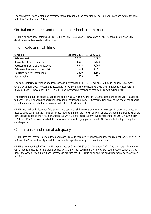The company's financial standing remained stable throughout the reporting period. Full-year earnings before tax came to EUR 6,704 thousand (7,975).

# On-balance-sheet and off-balance-sheet commitments

OP MB's balance sheet total was EUR 18,601 million (16,006) on 31 December 2021. The table below shows the development of key assets and liabilities.

# Key assets and liabilities

| $\epsilon$ million                   | 31 Dec 2021 | 31 Dec 2020 |
|--------------------------------------|-------------|-------------|
| Balance sheet                        | 18.601      | 16,006      |
| Receivables from customers           | 3,584       | 4,536       |
| Receivables from credit institutions | 14.814      | 11,009      |
| Debt securities issued to the public | 16,579      | 14,095      |
| Liabilities to credit institutions   | 1.570       | 1.500       |
| Equity capital                       | 370         | 371         |

The bank's intermediary loans and loan portfolio increased to EUR 18,275 million (15,326) in January–December. On 31 December 2021, households accounted for 99.5% (99.9) of the loan portfolio and institutional customers for 0.5% (0.1). On 31 December 2021, OP MB's non-performing receivables totalled EUR 279 million (301).

The carrying amount of bonds issued to the public was EUR 16,579 million (14,095) at the end of the year. In addition to bonds, OP MB financed its operations through debt financing from OP Corporate Bank plc. At the end of the financial year, the amount of debt financing came to EUR 1,570 million (1,500).

OP MB has hedged its loan portfolio against interest rate risk by means of interest rate swaps. Interest rate swaps are used to swap base rate cash flows of hedged loans to Euribor cash flows. OP MB has also changed the fixed rates of the bonds it has issued to short-term market rates. OP MB's interest rate derivative portfolio totalled EUR 17,019 million (17,953). OP MB has concluded all derivative contracts for hedging purposes, with OP Corporate Bank plc being their counterparty.

# Capital base and capital adequacy

OP MB uses the Internal Ratings Based Approach (IRBA) to measure its capital adequacy requirement for credit risk. OP MB uses the Standardised Approach to measure its capital adequacy for operational risks.

OP MB's Common Equity Tier 1 (CET1) ratio stood at 92.9% (61.8) on 31 December 2021. The statutory minimum for CET1 ratio is 4.5% and for the capital adequacy ratio 8%. The requirement for the capital conservation buffer of 2.5% under the Act on Credit Institutions increases in practice the CET1 ratio to 7% and the minimum capital adequacy ratio to 10.5%.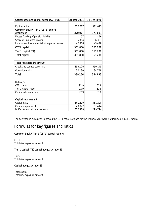| Capital base and capital adequacy, TEUR        | 31 Dec 2021 | 31 Dec 2020 |
|------------------------------------------------|-------------|-------------|
|                                                |             |             |
| Equity capital                                 | 370,077     | 371,093     |
| Common Equity Tier 1 (CET1) before             |             |             |
| deductions                                     | 370,077     | 371,093     |
| Excess funding of pension liability            | $-57$       | -56         |
| Share of unaudited profits                     | $-5,364$    | $-6,381$    |
| Impairment loss - shortfall of expected losses | $-2,856$    | $-3,448$    |
| CET1 capital                                   | 361,800     | 361,208     |
| Tier 1 capital (T1)                            | 361,800     | 361,208     |
| <b>Total capital</b>                           | 361,800     | 361,208     |
|                                                |             |             |
| Total risk exposure amount                     |             |             |
| Credit and counterparty risk                   | 359,126     | 550,145     |
| Operational risk                               | 30,130      | 34,748      |
| <b>Total</b>                                   | 389,256     | 584,893     |
|                                                |             |             |
| Ratios, %                                      |             |             |
| CET1 ratio                                     | 92.9        | 61.8        |
| Tier 1 capital ratio                           | 92.9        | 61.8        |
| Capital adequacy ratio                         | 92.9        | 61.8        |
|                                                |             |             |
| Capital requirement                            |             |             |
| Capital base                                   | 361,800     | 361,208     |
| Capital requirement                            | 40,872      | 61,414      |
| Buffer for capital requirements                | 320,928     | 299,794     |

The decrease in exposures improved the CET1 ratio. Earnings for the financial year were not included in CET1 capital.

# Formulas for key figures and ratios

# Common Equity Tier 1 (CET1) capital ratio, %

CET<sub>1</sub> Total risk exposure amount

# Tier 1 capital (T1) capital adequacy ratio, %

Tier1 Total risk exposure amount

### Capital adequacy ratio, %

Total capital Total risk exposure amount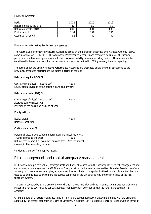#### Financial indicators

| Ratio                     | 2021 | 2020 | 2019 |
|---------------------------|------|------|------|
| Return on equity (ROE), % | 1.4  | 17   |      |
| Return on assets (ROA), % | 0.03 | 0.04 | 0.08 |
| Equity ratio, %           | 1.99 | 2.32 | 2.46 |
| Cost/income ratio, %      | 56   | 40   |      |

#### Formulas for Alternative Performance Measures

The Alternative Performance Measures Guidelines issued by the European Securities and Markets Authority (ESMA) came into force on 3 July 2016. The Alternative Performance Measures are presented to illustrate the financial performance of business operations and to improve comparability between reporting periods. They should not be considered to be replacements for the performance measures defined in IFRS governing financial reporting.

The formulas for the used Alternative Performance Measures are presented below and they correspond to the previously presented performance indicators in terms of content.

### Return on equity (ROE), %

Operating profit (loss) - Income tax\* x 100 Equity capital (average of the beginning and end of year)

### Return on assets (ROA), %

Operating profit (loss) - Income tax\* \_\_\_\_\_\_\_\_\_\_\_\_ x 100 Average balance sheet total (average of the beginning and end of year)

### Equity ratio, %

Equity capital x 100 Balance sheet total

#### Cost/income ratio, %

Personnel costs + Depreciation/amortisation and impairment loss + Other operating expenses x 100 Net interest income + Net commissions and fees + Net investment income + Other operating income

\* Includes tax effect from appropriations.

# Risk management and capital adequacy management

OP Financial Group's core values, strategic goals and financial targets form the basis for OP MB's risk management and capital adequacy management. In OP Financial Group's risk policy, the central cooperative's Board of Directors confirms annually risk-management principles, actions, objectives and limits to be applied by the Group and its entities that are used to guide business to implement the policies confirmed in the Group's strategy and the principles of the risk tolerance system.

The central cooperative is in charge of the OP Financial Group level risk and capital adequacy management. OP MB is responsible for its own risk and capital adequacy management in accordance with the nature and extent of its operations.

OP MB's Board of Directors makes decisions on its risk and capital adequacy management in line with the principles adopted by the central cooperative's Board of Directors. In addition, OP MB's Board of Directors deals with, in terms of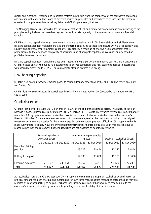quality and extent, far-reaching and important matters in principle from the perspective of the company's operations, and any unusual matters. The Board of Directors decides on principles and procedures to ensure that the company operates in compliance with external regulation and OP Cooperative's guidelines.

The Managing Director is responsible for the implementation of risk and capital adequacy management according to the principles and guidelines that have been agreed on, and reports regularly on the company's business and financial standing.

OP MB's risk and capital adequacy management tasks are centralised within OP Financial Group's Risk Management. Risk and capital adequacy management falls under internal control. Its purpose is to ensure OP MB's risk capacity and liquidity and, thereby, ensure business continuity. Risk capacity is made up of effective risk management that is proportionate to the extent and complexity of operations and of adequate capital resources and liquidity based on profitable business operations.

Risk and capital adequacy management has been made an integral part of the company's business and management. OP MB focuses on carrying out its role according to its service capabilities and risk-bearing capacities in accordance with shared business models. OP MB has a moderate attitude towards risk-taking.

# Risk-bearing capacity

OP MB's risk-bearing capacity remained good. Its capital adequacy ratio stood at 92.9% (61.8). The return on equity was 1.4% (1.7).

OP MB does not seek to secure its capital base by retaining earnings. Rather, OP Cooperative guarantees OP MB's capital base.

# Credit risk exposure

OP MB's loan portfolio totalled EUR 3,584 million (4,536) at the end of the reporting period. The quality of the loan portfolio is good. Doubtful receivables totalled EUR 279 million (301). Doubtful receivables refer to receivables that are more than 90 days past due, other receivables classified as risky and forborne receivables due to the customer's financial difficulties. Forbearance measures consist of concessions agreed at the customers' initiative to the original repayment plan to make it easier for them to manage through temporary payment difficulties. OP cooperative banks make every effort to identify ways of solving customers' temporary financial difficulties. Loan modifications due to reasons other than the customer's financial difficulties are not classified as doubtful receivables.

|                               | Performing forborne<br>exposures (gross) |             | Non-performing receivables<br>(gross) |             | Doubtful receivables (gross) |             |
|-------------------------------|------------------------------------------|-------------|---------------------------------------|-------------|------------------------------|-------------|
|                               | 31 Dec 2021                              | 31 Dec 2020 | 31 Dec 2021                           | 31 Dec 2020 | 31 Dec 2021                  | 31 Dec 2020 |
| More than 90 days<br>past due |                                          |             | 13,122                                | 13,444      | 13,122                       | 13,444      |
| Unlikely to be paid           |                                          |             | 12,783                                | 11,030      | 12,783                       | 11,030      |
| Forborne exposures            | 213,922                                  | 241,864     | 38,762                                | 34,203      | 252,684                      | 276,067     |
| <b>Total</b>                  | 213,922                                  | 241,864     | 64,667                                | 58,677      | 278,589                      | 300,541     |

As receivables more than 90 days past due, OP MB reports the remaining principal of receivables whose interest or principal amount has been overdue and outstanding for over three months. Other receivables categorised as risky are reported as contracts unlikely to be paid. Forborne loans include receivables that have been modified due to the customer's financial difficulties by, for example, granting a repayment holiday of 6 to 12 months.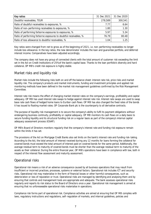| Key ratios                                                        | 31 Dec 2021 | 31 Dec 2020 |
|-------------------------------------------------------------------|-------------|-------------|
| Doubtful receivables, TEUR                                        | 278,589     | 300,541     |
| Ratio of doubtful receivables to exposures, %                     | 7.77        | 6.64        |
| Ratio of non-performing receivables to exposures, %               | 1.80        | 1.30        |
| Ratio of performing forborne exposures to exposures, %            | 5.97        | 5.34        |
| Ratio of performing forborne exposures to doubtful receivables, % | 76.79       | 80.48       |
| Ratio of loss allowance to doubtful receivables, %                | 1.04        | 1 25        |

Key ratios were changed from net to gross as of the beginning of 2021, i.e. non-performing receivables no longer include loss allowance. In the key ratios, the new denominator includes the loan and guarantee portfolio, and deferred interest income. Comparatives have been adjusted accordingly.

The company does not have any group of connected clients with the total amount of customer risk exceeding the limit set in the Act on Credit Institutions of 25% of the bank's capital base. Thanks to the loan portfolio's diversity and hard collateral, OP MB's credit risk exposure is highly stable.

# Market risks and liquidity risk

Market risks include the following risks both on and off the balance sheet: interest rate risk, price risks and market liquidity risk. The company's products and market instruments, funding and investment principles and applied risk monitoring methods have been defined in the market risk management guidelines confirmed by the Risk Management Committee.

Interest rate risk means the effect of changing market interest rates on the company's earnings, profitability and capital adequacy. OP MB has used interest rate swaps to hedge against interest rate risk. Interest rate swaps are used to swap base rate cash flows of hedged home loans to Euribor cash flows. OP MB has also changed the fixed rates of the bonds it has issued to floating market rates. OP Corporate Bank plc is the counterparty to all derivative contracts.

The purpose of liquidity risk management is to secure the company's ability to fulfil its payment obligations without endangering business continuity, profitability or capital adequacy. OP MB monitors its cash flows on a daily basis to secure funding liquidity and its structural funding risk on a regular basis as part of the company's internal capital adequacy assessment process (ICAAP).

OP MB's Board of Directors monitors regularly that the company's interest rate and funding risk exposure remain within the limits it has set.

The provisions of the Act on Mortgage Credit Banks also set limits on the bank's interest rate and funding risk-taking. According to the Act, the total amount of interest received during any 12 months for loans forming the collateral for covered bonds must exceed the total amount of interest paid on covered bonds for the same period. Additionally, the average residual term to maturity of covered bonds must be shorter than the average residual term to maturity of the assets as their collateral. During the entire financial year, OP MB's operations have been in compliance with law, both in respect of the interest flow assessment and maturity assessment.

# Operational risks

Operational risk means a risk of an adverse consequence caused by all business operations that may result from insufficient or incorrect practices, processes, systems or external factors. Operational risk includes ICT and security risks. Operational risk may materialise in the form of financial losses or other harmful consequences, such as deterioration or loss of reputation or trust. Operational risks are managed by identifying and analysing them and by ensuring that controls and management tools are appropriate and adequate. The bank assesses operational risks regularly and reports its risk status to the Board of Directors once a year. Operational risk management is aimed at ensuring that no unforeseeable operational risks materialise in operations.

Compliance risk forms part of operational risk. Compliance activities are aimed at ensuring that OP MB complies with laws, regulatory instructions and regulations, self-regulation of markets, and internal guidelines, policies and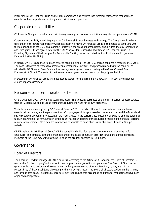instructions of OP Financial Group and OP MB. Compliance also ensures that customer relationship management complies with appropriate and ethically sound principles and practices.

# Corporate responsibility

OP Financial Group's core values and principles governing corporate responsibility also guide the operations of OP MB.

Corporate responsibility is an integral part of OP Financial Group's business and strategy. The Group's aim is to be a forerunner of corporate responsibility within its sector in Finland. OP Financial Group is committed to complying with the ten principles of the UN Global Compact initiative in the areas of human rights, labour rights, the environment and anti-corruption. OP has agreed to follow the UN Principles for Responsible Investment. OP Financial Group is a Founding Signatory of the Principles for Responsible Banking under the United Nations Environment Programme Finance Initiative (UNEP FI).

In March, OP MB issued the first green covered bond in Finland. The EUR 750 million bond has a maturity of 10 years. The bond is targeted at responsible international institutional investors, and proceeds raised with the bond will be allocated to OP Financial Group's home loans recognised as green ones according to the Green Covered Bond Framework of OP MB. The sector to be financed is energy-efficient residential buildings (green buildings).

In December, OP Financial Group's climate actions scored, for the third time in a row, an A- in CDP's international climate impact assessment.

# Personnel and remuneration schemes

On 31 December 2021, OP MB had seven employees. The company purchases all the most important support services from OP Cooperative and its Group companies, reducing the need for its own personnel.

Variable remuneration applied by OP Financial Group in 2021 consists of the performance-based bonus scheme covering all personnel, and the personnel fund. Company-specific targets based on the annual plan and the Group-level strategic targets are taken into account in the metrics used in the performance-based bonus scheme and the personnel fund. In drawing up the remuneration schemes, OP has taken account of the regulation regarding the financial sector's remuneration schemes. More detailed information on variable remuneration is available on OP Financial Group's website.

OP MB belongs to OP Financial Group's OP Personnel Fund which forms a long-term remuneration scheme for employees. The company pays the Personnel Fund profit-based bonuses in accordance with pre-agreed principles. Members of the Fund may withdraw fund units on the grounds specified in Fund Rules.

# Governance

# Board of Directors

The Board of Directors manages OP MB's business. According to the Articles of Association, the Board of Directors is responsible for the company's administration and appropriate organisation of operations. The Board of Directors has general authority to decide on all issues related to the governance and other matters that, by law, are not the responsibility of the Annual General Meeting or the Managing Director. The Board of Directors decides on the strategy and key business goals. The Board of Directors' duty is to ensure that accounting and financial management have been organised appropriately.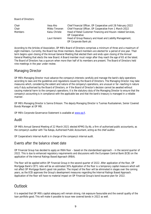Board of Directors:

| Chair          | Vesa Aho       | Chief Financial Officer, OP Cooperative until 28 February 2022 |
|----------------|----------------|----------------------------------------------------------------|
| Chair          | Mikko Timonen  | Chief Financial Officer, OP Cooperative from 1 March 2022      |
| <b>Members</b> | Kaisu Christie | Head of Retail Customer Financing and Housin-related Services, |
|                |                | OP Cooperative                                                 |
|                | Lauri Iloniemi | Head of Group Reasury and Asset and Liability Management,      |
|                |                | OP Corporate Bank plc                                          |

According to the Articles of Association, OP MB's Board of Directors comprises a minimum of three and a maximum of eight members. Currently, the Board has three members. Board members are elected for a period of one year. Their term begins upon closing of the Annual General Meeting that elected them and ends upon closing of the Annual General Meeting that elects the new Board. A Board member must resign after they reach the age of 65 at the latest. The Board of Directors has a quorum when more than half of its members are present. The Board of Directors held nine meetings in the year under review.

# Managing Director

OP MB's Managing Director must advance the company's interests carefully and manage the bank's daily operations according to laws and the guidelines and regulations issued by the Board of Directors. The Managing Director may take measures which, considering the extent and nature of the company's operations, are unusual or far-reaching in nature only if duly authorised by the Board of Directors, or if the Board of Director's decision cannot be awaited without causing material harm to the company's operations. It is the statutory duty of the Managing Director to ensure that the company's accounting is in compliance with the applicable law and that the bank's treasury is managed in a reliable manner.

OP MB's Managing Director is Sanna Eriksson. The deputy Managing Director is Tuomas Ruotsalainen, Senior Covered Bonds Manager at OP MB.

OP MB's Corporate Governance Statement is available at www.op.fi.

### Audit

OP MB's Annual General Meeting of 22 March 2021 elected KPMG Oy Ab, a firm of authorised public accountants, as the company's auditor with Tiia Kataja, Authorised Public Accountant, acting as the chief auditor.

OP Cooperative's Internal Audit is in charge of the company's internal audit.

# Events after the balance sheet date

OP Financial Group has decided to apply an RWA floor – based on the standardised approach – in the second quarter of 2022. This is due to enhanced regulatory requirements and discussions with the European Central Bank (ECB) on the application of the Internal Ratings Based Approach (IRBA).

The floor will be applied within OP Financial Group in the second quarter of 2022. After application of the floor, OP Mortgage Bank's CET1 ratio will be an estimated 30%. Application of the floor is a temporary capital measure which will not affect OP Mortgage Bank's good risk position. The impact of the floor will be eliminated in stages over the coming years, as the ECB approves the Group's development measures regarding the Internal Ratings Based Approach. Application of the floor will have no material impact on OP Financial Group's bond issuance plan for 2022.

# **Outlook**

It is expected that OP MB's capital adequacy will remain strong, risk exposure favourable and the overall quality of the loan portfolio good. This will make it possible to issue new covered bonds in 2022 as well.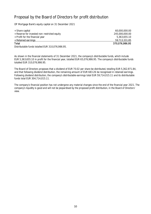# Proposal by the Board of Directors for profit distribution

OP Mortgage Bank's equity capital on 31 December 2021

| + Share capital                              | 60.000.000.00  |
|----------------------------------------------|----------------|
| + Reserve for invested non-restricted equity | 245,000,000,00 |
| + Profit for the financial year              | 5.363.655.10   |
| + Retained earnings                          | 59.713.331.85  |
| Total                                        | 370,076,986.95 |
| ____________________________________         |                |

Distributable funds totalled EUR 310,076,986.95.

As shown in the financial statements of 31 December 2021, the company's distributable funds, which include EUR 5,363,655.10 in profit for the financial year, totalled EUR 65,076,986.95. The company's distributable funds totalled EUR 310,076,986.95.

The Board of Directors proposes that a dividend of EUR 70.02 per share be distributed, totalling EUR 5,362,971.84, and that following dividend distribution, the remaining amount of EUR 683.26 be recognised in retained earnings. Following dividend distribution, the company's distributable earnings total EUR 59,714,015.11 and its distributable funds total EUR 304,714,015.11.

The company's financial position has not undergone any material changes since the end of the financial year 2021. The company's liquidity is good and will not be jeopardised by the proposed profit distribution, in the Board of Directors' view.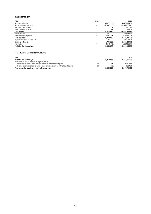#### INCOME STATEMENT

| <b>EUR</b>                       | <b>Note</b> | 2021             | 2020             |
|----------------------------------|-------------|------------------|------------------|
| Net interest income              |             | 42,075,223.01    | 48.469.674.58    |
| Net commissions and fees         | 4           | $-25.803.527.38$ | $-32.410.957.49$ |
| Net investment income            |             | 1.138.44         | 1,400.00         |
| Other operating income           |             | 848.17           | 829.74           |
| <b>Total income</b>              |             | 16.273.682.24    | 16.060.946.83    |
| Personnel costs                  | 5           | 487.232.30       | 467,485.53       |
| Other operating expenses         | 6           | 8.591.380.11     | 5,971,860.26     |
| Total expenses                   |             | 9.078.612.41     | 6.439,345.79     |
| Impairment losses on receivables |             | $-490.832.71$    | $-1.646.311.26$  |
| Earnings before tax              |             | 6.704.237.12     | 7,975,289.78     |
| Income tax                       | 8           | 1.340.582.02     | 1.594.123.67     |
| Profit for the financial year    |             | 5.363.655.10     | 6.381.166.11     |

#### STATEMENT OF COMPREHENSIVE INCOME

| <b>EUR</b>                                                                       | 2021         | 2020         |
|----------------------------------------------------------------------------------|--------------|--------------|
| Profit for the financial year                                                    | 5.363.655.10 | 6.381.166.11 |
| Items that will not be reclassified to profit or loss                            |              |              |
| Gains/(losses) arising from remeasurement of defined benefit plans               | 1.760.00     | $-16.821.00$ |
| Income tax on gains/(losses) arising from remeasurement of defined benefit plans | $-352.00$    | 3.364.20     |
| Total comprehensive income for the financial year                                | 5,365,063.10 | 6.367.709.31 |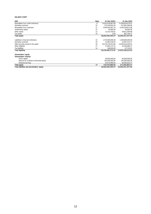#### BALANCE SHEET

| <b>EUR</b>                            | <b>Note</b> | 31 Dec 20201      | 31 Dec 2020       |
|---------------------------------------|-------------|-------------------|-------------------|
| Receivables from credit institutions  | 9           | 14.814.634.687.68 | 11.008.826.679.52 |
| Derivative contracts                  | 10          | 170.199.655.59    | 431.801.099.80    |
| Receivables from customers            | 11          | 3.584.444.587.19  | 4.536.258.872.98  |
| Investments assets                    | 12          | 40.000.00         | 40.000.00         |
| Other assets                          | 13          | 31.241.430.01     | 28.621.909.98     |
| Tax assets                            | 14          | 0.00              | 802.794.72        |
| <b>Total assets</b>                   |             | 18,600,560,360.47 | 16.006.351.357.00 |
| Liabilities to financial institutions | 15          | 1.570.000.000.00  | 1.500.000.000.00  |
| Derivative contracts                  | 10          | 52.965.536.44     | 14.907.515.27     |
| Debt securities issued to the public  | 16          | 16.579.276.014.86 | 14,095,016,636.02 |
| Other liabilities                     | 17          | 27.893.172.13     | 25.266.686.27     |
| <b>Tax liabilities</b>                | 14          | 348.650.09        | 67.716.07         |
| <b>Total liabilities</b>              |             | 18,230,483,373,52 | 15.635.258.553.63 |
|                                       |             |                   |                   |

#### Shareholders' equity Shareholders' interest

| Total liabilities and shareholders' equity |    | 18.600.560.360.47 | 16.006.351.357.00 |
|--------------------------------------------|----|-------------------|-------------------|
| <b>Total equity</b>                        | 18 | 370.076.986.95    | 371.092.803.37    |
| Retained earnings                          |    | 65.076.986.95     | 66.092.803.37     |
| Reserve for invested unrestricted equity   |    | 245.000.000.00    | 245.000.000.00    |
| Share capital                              |    | 60.000.000.00     | 60.000.000.00     |
|                                            |    |                   |                   |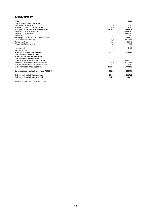#### CASH FLOW STATEMENT

| <b>TEUR</b>                                           | 2021         | 2020         |
|-------------------------------------------------------|--------------|--------------|
| Cash flow from operating activities                   |              |              |
| Profit for the financial year                         | 5,364        | 6,381        |
| Adjustments to profit for the financial year          | $-14.640$    | 9.302        |
| Increase (-) or decrease (+) in operating assets      | $-2.976.898$ | $-993,478$   |
| Receivables from credit institutions                  | $-3.918.101$ | $-2.088.262$ |
| Receivables from customers                            | 943.822      | 1,091,801    |
| Other assets                                          | $-2,620$     | 2,983        |
| Increase (+) or decrease (-) in operating liabilities | 72,628       | $-1,044,611$ |
| Liabilities to credit institutions                    | 70,000       | $-1,016,000$ |
| Derivative contracts                                  | 12.913       | $-29.541$    |
| Provisions and other liabilities                      | $-10,285$    | 930          |
| Income tax paid                                       | $-257$       | $-1,483$     |
| Dividends received                                    |              |              |
| A. Net cash from operating activities                 | $-2.913.803$ | $-2.023.888$ |
| Cash flow from investing activities                   |              |              |
| B. Net cash used in investing activities              |              |              |
| Cash flow from financing activities                   |              |              |
| Increases in debt securities issued to the public     | 3,807,890    | 3,081,772    |
| Decreases in debt securities issued to the public     | $-1.000.000$ | $-1.270.000$ |
| Dividends paid and interest on cooperative capital    | $-6.381$     | $-11.891$    |
| C. Net cash used in financing activities              | 2,801,509    | 1,799,881    |
| Net change in cash and cash equivalents (A+B+C+D)     | -112,293     | -224,007     |
| Cash and cash equivalents at year-start               | 214.695      | 438.702      |
| Cash and cash equivalents at year-end                 | 102,402      | 214.695      |

Notes to cash flows are presented in Note. 21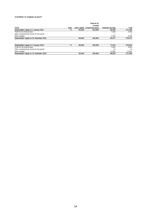#### STATEMENT OF CHANGES IN EQUITY

|                                           |      |        | Reserve for                       |                          |           |
|-------------------------------------------|------|--------|-----------------------------------|--------------------------|-----------|
|                                           |      |        | invested                          |                          |           |
| <b>TEUR</b>                               | Note |        | Share capital unrestricted equity | <b>Retained earnings</b> | Total     |
| Shareholders' equity on 1 January 2021    | 18   | 60.000 | 245,000                           | 66.093                   | 371,093   |
| Profit for the financial year             |      |        |                                   | 5.364                    | 5.364     |
| Other comprehensive income for the period |      |        |                                   |                          |           |
| Other changes                             |      |        |                                   | $-6.381$                 | $-6,381$  |
| Shareholders' equity on 31 December 2021  |      | 60.000 | 245.000                           | 65,077                   | 370,077   |
| Shareholders' equity on 1 January 2020    | 18   | 60,000 | 245,000                           | 71,616                   | 376,616   |
| Profit for the financial year             |      |        |                                   | 6.381                    | 6.381     |
| Other comprehensive income for the period |      |        |                                   | $-13$                    | $-13$     |
| Other changes                             |      |        |                                   | $-11.891$                | $-11,891$ |
| Shareholders' equity on 31 December 2020  |      | 60,000 | 245,000                           | 66,093                   | 371,093   |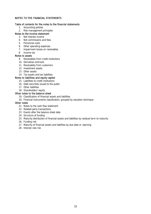### NOTES TO THE FINANCIAL STATEMENTS

#### Table of contents for the notes to the financial statements

1. Accounting policies

### 2. Risk management principles

### Notes to the income statement

- 3. Net interest income
- 4. Net commissions and fees
- 5. Personnel costs
- 6. Other operating expenses
- 7. Impairment losses on receivables
- 8. Income tax

### Notes to assets

- 9. Receivables from credit institutions
- 10. Derivative contracts
- 11. Receivables from customers
- 12. Investment assets
- 13. Other assets
- 14. Tax assets and tax liabilities

### Notes to liabilities and equity capital

- 15. Liabilities to credit institutions
- 16. Debt securities issued to the public
- 17. Other liabilities

# 18. Shareholders' equity

# Other notes to the balance sheet

- 19. Classification of financial assets and liabilities
- 20. Financial instruments classification, grouped by valuation technique

#### Other notes

- 21. Notes to the cash flow statement
- 22. Related party transactions
- 23. Events after the balance sheet date
- 24. Structure of funding
- 25. Maturity distribution of financial assets and liabilities by residual term to maturity
- 26. Funding risk
- 27. Maturity of financial assets and liabilities by due date or repricing
- 28. Interest rate risk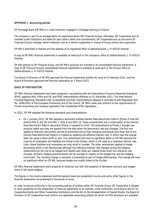### APPENDIX 1. Accounting policies

OP Mortgage Bank (OP MB) is a credit institution engaged in mortgage banking in Finland.

The company is part of an amalgamation of cooperative banks (OP Financial Group). Ultimately, OP Cooperative and its member credit institutions are liable for each other's debts and commitments. OP Cooperative acts as the entire OP Financial Group's strategic owner institution and as a central cooperative in charge of Group control and supervision.

OP MB is domiciled in Helsinki and the address of its registered office is Gebhardinaukio 1, FI-00510 Helsinki.

A copy of OP MB's financial statements is available at www.op.fi or the company's office at Gebhardinaukio 1, FI-00510 Helsinki.

OP MB belongs to OP Financial Group, and OP MB's accounts are included in its consolidated financial statements. A copy of OP Financial Group's consolidated financial statements is available at www.op.fi or the Group's office at Gebhardinaukio 1, FI-00510 Helsinki.

The Board of Directors of OP MB approved the financial statements bulletin for issue on 9 February 2022, and the Board of Directors approved the financial statements on 1 March 2022.

### BASIS OF PREPARATION

OP MB's financial statements have been prepared in accordance with the International Financial Reporting Standards (IFRS), applying IASs, IFRSs and SIC and IFRIC interpretations effective on 31 December 2021. The International Financial Reporting Standards refer to standards and their interpretations adopted in accordance with Regulation (EU) No. 1606/2002 of the European Parliament and of the Council. OP MB's notes also conform to the requirements of Finnish accounting and company legislation that complement IFRS regulations.

In 2021, OP MB adopted the following standards and interpretations:

 On 1 January 2021, OP MB adopted a document entitled Interest Rate Benchmark Reform (Phase 2) that will amend IFRS 9, IAS 39 and IFRS 7, IFRS 4 and IFRS 16. These amendments are a continuation of the Interest Rate Benchmark Reform document (Phase 1) adopted in 2020. The amendments to Phase 2 brought two practical reliefs and they are applied from the date when the benchmark rate has changed. The first one applies to financial instruments carried at amortised cost so that changing contractual cash flows due to the Interest Rate Benchmark Reform is treated by updating the effective interest rate, in which case the change does not cause a direct profit or loss. This amendment will have no significant effect on OP MB because the majority of receivables and liabilities are linked to the Euribor, which is still used as a reference interest rate. Libor-linked liabilities and receivables are only small in number. The other amendment applies to hedge accounting which is not discontinued although the reference interest rate changes during the hedging relationship but the risk to be hedged and related cash flows are redetermined when the reference rate changes. Similarly, hedging documentation will be changed in respect of the hedged risk and the hedging instrument. The resulting change in valuation is presented as part of hedge effectiveness. This change will have no significant effect on OP MB, because hedges are mostly linked to the Euribor.

OP MB's financial statements were prepared at historical cost with the exception of derivative contracts and hedged items in fair value hedging.

The figures in the income statement and the balance sheet are presented in euros and cents; other figures in the financial statements are presented in thousands of euros.

In order to ensure uniformity in the accounting policies of entities within OP Financial Group, OP Cooperative is obliged to issue guidelines on the preparation of financial statements to its member credit institutions. According to the Act on Cooperative Banks and Other Cooperative Institutions and the Act on the Amalgamation of Deposit Banks, the Board of Directors of OP Cooperative must confirm any applicable accounting policies for which no IFRS directions are available.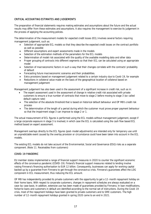### CRITICAL ACCOUNTING ESTIMATES AND JUDGEMENTS

The preparation of financial statements requires making estimates and assumptions about the future and the actual results may differ from these estimates and assumptions. It also requires the management to exercise its judgement in the process of applying the accounting policies.

The determination of the measurement models for expected credit losses (ECL) involves several factors requiring management judgement, such as:

- Selection of appropriate ECL models so that they describe the expected credit losses on the contract portfolio as well as possible
- Different assumptions and expert assessments made in the models
- Selection of the estimation methods of the parameters for the ECL models
- Determination of model risk associated with the quality of the available modelling data and other data
- Proper grouping of contracts into different segments so that their ECL can be calculated using an appropriate model
- Selection of macroeconomic factors in such a way that their changes correlate with the contracts' probability of default
- Forecasting future macroeconomic scenarios and their probabilities.
- Extra provisions based on management judgement related to a certain industry due to Covid-19, for example
- Reductions in collateral value made on the basis of the geographical location of collateral based on management judgement

Management judgement has also been used in the assessment of a significant increase in credit risk, such as in:

- The expert assessment used in the assessment of change in relative credit risk associated with private customers to ensure a true number of contracts that move to stage 2 before moving to stage 3 (so-called default capture rate)
- The selection of the absolute threshold that is based on historical default behaviour and OP MB's credit risk process
- The determination of the length of a period during which the customer must prove proper payment behaviour so that the impairment stage 3 can improve to stage 2 or 1.

The actual measurement of ECL figures is performed using the ECL models without management judgement, except if a large corporate exposure in stage 3 is involved, in which case the ECL is calculated using the cash flow based ECL method based on expert assessment.

Management overlays directly to the ECL figures (post-model adjustments) are intended only for temporary use until an unpredictable event caused by the overlay provision or circumstance could have been taken into account in the ECL models.

The existing ECL models do not take account of the Environmental, Social and Governance (ESG) risks as a separate component. (Note 11. Receivables from customers)

### COVID-19 PANDEMIC

EU member states implemented a range of financial support measures in 2020 to counter the significant economic effects of the coronavirus pandemic (COVID-19). Finland's financial support measures related to lending involve raising Finnvera's financing authorisation to EUR 12 billion. Consequently, businesses can apply for working capital backed up by a guarantee from Finnvera to get through the coronavirus crisis. Finnvera's guarantees affect the LDG component in ECL measurement, thus reducing the ECL amount.

OP MB has independently provided its private customers with the opportunity to get a 12-month repayment holiday on their home loans. With respect to corporate customers, changes in repayment schedules are always evaluated on a case-by-case basis. In addition, extensive use has been made of guarantees provided by Finnvera. In loan modifications, forborne loans and customers in default are identified according to the normal set of instructions. During the Covid-19 crisis, most of the repayment holidays have been granted to private customers and to SME customers. The high number of 12-month repayment holidays granted in spring 2020 came to an end in 2021.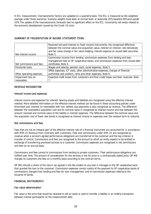In ECL measurement, macroeconomic factors are updated on a quarterly basis. The ECL is measured as the weighted average under three scenarios. Scenario weights have been at normal level, or downside 20%, baseline 60% and upside 20%. The update of the macroeconomic forecasts had no significant effect on the ECL. Uncertainty still exists related to the economic development caused by the Covid-19 crisis.

### SUMMARY OF PRESENTATION OF INCOME STATEMENT ITEMS

|                          | Received and paid interest on fixed-income instruments, the recognised difference<br>between the nominal value and acquisition value, interest on interest-rate derivatives |
|--------------------------|-----------------------------------------------------------------------------------------------------------------------------------------------------------------------------|
|                          | and fair value change in fair value hedging, interest expense on issued debt securities.                                                                                    |
| Net interest income      | Note 3.                                                                                                                                                                     |
|                          | Commission income from lending, commission expenses from lending and loan                                                                                                   |
|                          | management fees to OP cooperative banks, and commission expenses from issued debt                                                                                           |
| Net commissions and fees | certificates. Note 4.                                                                                                                                                       |
| Personnel costs          | Wages and salaries, pension costs, social expenses. Note 5.                                                                                                                 |
|                          | Office expenses, ICT costs, other administrative expenses, charges of financial                                                                                             |
| Other operating expenses | authorities and auditors, rents and other expenses. Note 6.                                                                                                                 |
| Impairment loss on       | Expected credit losses from customers and final credit losses and their reversals. Note                                                                                     |
| receivables              |                                                                                                                                                                             |

### REVENUE RECOGNITION

#### Interest income and expenses

Interest income and expenses for interest-bearing assets and liabilities are recognised using the effective interest method. More detailed information on the effective interest method can be found in these accounting policies under Amortised cost. Interest on receivables with non-settled, due payments is also recognised as revenue. The difference between the receivable's acquisition cost and its nominal value is recognised as interest income and that between the amount received and nominal value of the liability in interest expenses. The difference between the nominal value and the acquisition cost of fixed-rate bonds is recognised as interest income or expenses over the residual term to maturity.

#### Net commissions and fees

Fees that are not an integral part of the effective interest rate of a financial instrument are accounted for in accordance with IFRS 15 Revenue from Contracts with Customers. Fees and commissions under IFRS 15 are recognised as revenue when a service's agreed performance obligations are transferred to the customer and the key criterion is transfer of control. Commissions and fees are recognised to the amount to which an entity expects to be entitled in exchange of transferring promised services to a customer. Commission expenses are recognised in net commissions and fees on an accrual basis.

Commissions and fees consist of commissions from lending to private customers. Their performance obligations are fulfilled over time. The amount of consideration for the services is the list price or a contractually stated price. OP MB charges its customers the fees on a monthly basis according to the contract terms.

OP MB refunds a share of the return (as agreed in the fee model) on any loan it manages to the OP cooperative bank that granted the loan to the customer. Commission expenses consist mainly of the payment to OP cooperative banks of commissions charged from lending and fees for loan management, and of commission expenses relating to the issuance of bonds.

#### FINANCIAL INSTRUMENTS

#### Fair value determination

Fair value is the price that would be received to sell an asset or paid to transfer a liability in an orderly transaction between market participants on the measurement date.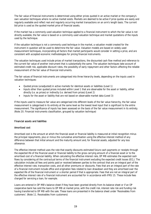The fair value of financial instruments is determined using either prices quoted in an active market or the company's own valuation techniques where no active market exists. Markets are deemed to be active if price quotes are easily and regularly available and reflect real and regularly occurring market transactions on an arm's length basis. The current bid price is used as the quoted market price of financial assets.

If the market has a commonly used valuation technique applied to a financial instrument to which the fair value is not directly available, the fair value is based on a commonly used valuation technique and market quotations of the inputs used by the technique.

If the valuation technique is not a commonly used technique in the market, a valuation model created for the instrument in question will be used to determine the fair value. Valuation models are based on widely used measurement techniques, incorporating all factors that market participants would consider in setting a price, and are consistent with accepted economic methodologies for pricing financial instruments.

The valuation techniques used include prices of market transactions, the discounted cash flow method and reference to the current fair value of another instrument that is substantially the same. The valuation techniques take account of estimated credit risk, applicable discount rates, the possibility of early repayment and other factors affecting the reliable measurement of the fair value of financial instruments.

The fair values of financial instruments are categorised into three hierarchy levels, depending on the inputs used in valuation techniques:

- Quoted prices (unadjusted) in active markets for identical assets or liabilities (Level 1)
- Inputs other than quoted prices included within Level 1 that are observable for the asset or liability, either directly (i.e. as prices) or indirectly (i.e. derived from prices) (Level 2)
- Inputs for the asset or liability that are not based on observable market data (Level 3)

If the inputs used to measure fair value are categorised into different levels of the fair value hierarchy, the fair value measurement is categorised in its entirety at the same level as the lowest level input that is significant to the entire measurement. The significance of inputs has been assessed on the basis of the fair value measurement in its entirety. (Note 20. Financial instruments classification, grouped by valuation technique)

### Financial assets and liabilities

### *Amortised cost*

Amortised cost is the amount at which the financial asset or financial liability is measured at initial recognition minus the principal repayments, plus or minus the cumulative amortisation using the effective interest method of any difference between that initial amount and the maturity amount and, for financial assets, adjusted for any loss allowance.

The effective interest method uses the rate that exactly discounts estimated future cash payments or receipts through the expected life of the financial asset or financial liability to the gross carrying amount of a financial asset or to the amortised cost of a financial liability. When calculating the effective interest rate, OP MB estimates the expected cash flows by considering all the contractual terms of the financial instrument excluding the expected credit losses (ECL). The calculation includes all fees and points paid or received between parties to the contract that are an integral part of the effective interest rate, transaction costs, and all other premiums or discounts. Fees that are an integral part of the rate of a financial instrument include office and origination fees related to loan drawdown and they are amortised over the expected life of the financial instrument or a shorter period if that is appropriate. Fees that are not an integral part of the effective interest rate of a financial instrument are accounted for in accordance with IFRS 15. These include fees charged for servicing a loan, for example.

Loans are entered in OP MB's balance sheet if they have been granted directly from its balance sheet or if an OP cooperative bank has sold the loans to OP MB at market price, with the credit risk, interest rate risk and funding risk having transferred to OP MB with the sale. These loans are presented in the balance sheet under 'Receivables from customers'. (Note 11. Receivables from customers)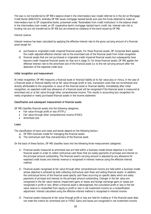The loan is not transferred to OP MB's balance sheet in the intermediary loan model referred to in the Act on Mortgage Credit Banks (688/2010), whereby OP MB issues mortgage-backed bonds and uses the funds obtained to make an intermediary loan to OP cooperative banks, presented under 'Receivables from credit institutions' in the balance sheet. In the intermediary loan model, an OP cooperative bank's mortgage-backed loan's credit risk, interest rate risk or funding risk are not transferred to OP MB but are entered as collateral of the bond issued by OP MB.

#### *Interest revenue*

Interest revenue has been calculated by applying the effective interest rate to the gross carrying amount of a financial asset except for:

- a) purchased or originated credit-impaired financial assets. For those financial assets, OP Corporate Bank applies the credit-adjusted effective interest rate to the amortised cost of the financial asset from initial recognition
- b) financial assets that are not purchased or originated credit-impaired financial assets but subsequently have become credit-impaired financial assets (or that are in stage 3). For those financial assets, OP MB applies the effective interest rate to the amortised cost of the financial asset (i.e. to the net carrying amount after the deduction of the expected credit loss).

#### *Initial recognition and measurement*

At initial recognition, OP MB measures a financial asset or financial liability at its fair value plus or minus, in the case of a financial asset or financial liability not at fair value through profit or loss, transaction costs that are incremental and directly attributable to the acquisition or issue of the financial asset or financial liability. Immediately after initial recognition, an expected credit loss allowance of a financial asset will be recognised if the financial asset is measured at amortised cost or at fair value through other comprehensive income. This results in accounting loss recognition for newly originated or newly purchased financial assets in the income statement.

#### *Classification and subsequent measurement of financial assets*

OP MB classifies financial assets into the following categories:

- Fair value through profit or loss (FVTPL)
- Fair value through other comprehensive income (FVOCI)
- **Amortised cost.**

#### *Loans*

The classification of loans and notes and bonds depend on the following factors:

- a) OP MB's business model for managing the financial assets
- b) The contractual cash flow characteristics of the financial asset.

On the basis of these factors, OP MB classifies loans into the following three measurement categories:

- 1) Financial assets measured at amortised cost are held within a business model whose objective is to hold financial assets in order to collect contractual cash flows that are solely payments of principal and interest on the principal amount outstanding. The financial asset's carrying amount is adjusted by any allowance for expected credit losses and interest revenue is recognised in interest revenue using the effective interest method.
- 2) Financial assets recognised at fair value through other comprehensive income are held within a business model whose objective is achieved by both collecting contractual cash flows and selling financial assets. In addition, the contractual terms of the financial asset specify cash flows occurring on specific dates which are solely payments of principal and interest on the principal amount outstanding. Changes in the fair value are recognised in the fair value reserve. Impairment gains or losses and foreign exchange gains or losses are recognised in profit or loss. When a financial asset is derecognised, the cumulative profit or loss in the fair value reserve is reclassified from equity to profit or loss in net investment income as a reclassification adjustment. Interest calculated using the effective interest method is recognised in interest income.
- 3) Financial assets measured at fair value through profit or loss are held for trading or if the financial asset does not meet the criteria for amortised cost or FVOCI. Gains and losses are recognised in net investment income.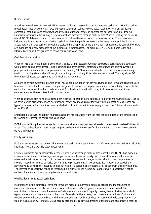#### *Business model*

A business model refers to how OP MB manages its financial assets in order to generate cash flows. OP MB's business model determines whether cash flows will result solely from collecting contractual cash flows or from collecting contractual cash flows and cash flows and by selling a financial asset, or whether the purpose is held for trading. Financial assets within the trading business model are measured through profit or loss. When assessing the business model, OP MB takes account of future measures to achieve the objective of the business model. The assessment includes previous experience in collecting cash flows, how the performance of the business model and the financial assets held within that business model are evaluated and reported to the entity's key management personnel, how risks are managed and how managers of the business are compensated. For example, OP MB holds home loans and intermediary loans it has granted to collect contractual cash flows.

#### *Cash flow characteristics*

When OP MB's business model is other than trading, OP MB assesses whether contractual cash flows are consistent with a basic lending arrangement. In the basic lending arrangement, contractual cash flows are solely payments or principal and interest on the principal amount outstanding (SPPI) where consideration for the time value of money, credit risk, lending risks and profit margin are typically the most significant elements of interest. The majority of OP MB's financial assets correspond to basic lending arrangements.

All loans to private customers granted by OP MB contain the option for early repayment. The terms and conditions are, however, consistent with the basic lending arrangement because the prepayment amount substantially represents the contractual par amount and accrued (but unpaid) contractual interest, which may include reasonable additional compensation for the early termination of the contract.

When contractual cash flows are exposed, for example, to change in stock prices or a borrower's financial result, this is no basic lending arrangement and such financial assets are measured at fair value through profit or loss. These are typically various mutual fund investments which do not fulfil the definition of equity in the issuer's financial statements under IAS 32.

Embedded derivatives included in financial assets are not separated from the host contract but they are considered in the overall assessment of contractual cash flows.

If OP Financial Group has to change its business model for managing financial assets, it may have to reclassify financial assets. The reclassification must be applied prospectively from the reclassification date. Such changes are expected to be very infrequent.

#### *Equity instruments*

Equity instruments are instruments that evidence a residual interest in the assets of a company after deducting all of its liabilities. These are typically stock investments.

Equity instruments are subsequently measured at fair value through profit or loss, except when OP MB has made an irrevocable election at initial recognition for particular investments in equity instruments that would otherwise be measured at fair value through profit or loss to present subsequent changes in fair value in other comprehensive income. These investments comprise OP MB's strategic investments in OP Cooperative's cooperative capital, the nominal value of which corresponds to their fair value. No capital gains or losses are realised from these investments. The interest on cooperative capital is recognised in net investment income. OP Cooperative's Cooperative Meeting confirms the amount of interest payable on an annual basis.

#### *Modification of contractual cash flows*

Modifications in the contractual payment terms are made as a normal measure related to the management of customer relationship but also in situations where the customer's repayment capacity has deteriorated. The modification to the loan due to the customer's deteriorated repayment capacity is recognised as forbearance which typically means a moratorium for a limited time. Generally, in these cases, the contractual cash flows of a loan are renegotiated or otherwise modified and the renegotiation or modification does not result in the derecognition of that loan. In such a case, OP Financial Group recalculates the gross carrying amount of the loan and recognises a profit or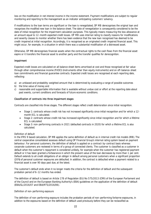loss on the modification in net interest income in the income statement. Payment modifications are subject to regular monitoring and reporting to the management as an indicator anticipating customers' solvency.

If modifications to the loan terms are significant or the loan is renegotiated, OP MB derecognises the original loan and recognises the modified new loan in the balance sheet. The date of renegotiation is consequently considered to be the date of initial recognition for the impairment calculation purposes. This typically means measuring the loss allowance at an amount equal to 12-month expected credit losses. OP MB uses internal rating to classify reasons for modifications and severity classes to monitor whether there has been evidence that the new loan recognised has deemed to be credit-impaired at initial recognition. Accordingly, it is recognised as an originated credit-impaired financial asset. This might occur, for example, in a situation in which there was a substantial modification of a distressed asset.

Otherwise, OP MB derecognises financial assets when the contractual rights to the cash flows from the financial asset expire or it transfers the financial asset to another party and the transfer qualifies for derecognition.

#### *Impairment*

Expected credit losses are calculated on all balance sheet items amortised at cost and those recognised at fair value through other comprehensive income (FVOCI) (instruments other than equity instruments) and on off-balance-sheet loan commitments and financial guarantee contracts. Expected credit losses are recognised at each reporting date, reflecting:

- a) an unbiased and probability-weighted amount that is determined by evaluating a range of possible outcomes
- b) the time value of money and
- c) reasonable and supportable information that is available without undue cost or effort at the reporting date about past events, current conditions and forecasts of future economic conditions.

### *Classification of contracts into three impairment stages*

Contracts are classified into three stages. The different stages reflect credit deterioration since initial recognition.

- Stage 1: contracts whose credit risk has not increased significantly since initial recognition and for which a 12 month ECL is calculated.
- Stage 2: contracts whose credit risk has increased significantly since initial recognition and for which a lifetime ECL is calculated.
- Stage 3: non-performing contracts in 2021 (defaulted contracts in 2020) for which a lifetime ECL is also calculated.

#### *Definition of default*

In the IFRS 9 based calculation, OP MB applies the same definition of default as in internal credit risk models (IRB). The central cooperative consolidated assesses default using OP Financial Group's internal rating system based on payment behaviour. For personal customers, the definition of default is applied on a contract-by-contract basis whereas corporate customers are reviewed in terms of a group of connected clients. The customer is classified as a customer in default when the customer's repayment is considered unlikely, for example when the customer has registered payment default or it has been granted a forbearance in which the present value of the loan decreases by more than 1 per cent. Default extends to all credit obligations of an obligor in default among personal customers when a significant proportion (20%) of personal customer exposures are defaulted. In addition, the contract is defaulted when a payment related to a financial asset is over 90 days past due, at the latest.

The customer's default ends when it no longer meets the criteria for the definition of default and the subsequent probation period of 6–12 months has ended.

The definition of default is based on Article 178 of Regulation (EU) No 575/2013 (CRR) of the European Parliament and of the Council and on the European Banking Authority's (EBA) guidelines on the application of the definition of default (EBA/GL/2016/07 and EBA/RTS/2016/06).

#### *Definition of non-performing exposure*

The definition of non-performing exposure includes the probation periods of non-performing forborne exposures, in addition to the exposures based on the definition of default used previously before they can be reclassified as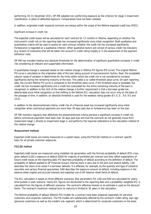performing. On 31 December 2021, OP MB adopted non-performing exposure as the criterion for stage 3 impairment classification, in place of defaulted exposure. Comparatives have not been restated.

In addition, originated credit-impaired contracts are always within the scope of the lifetime expected credit loss (POCI).

*Significant increase in credit risk*

The expected credit losses will be calculated for each contract for 12 months or lifetime, depending on whether the instrument's credit risk on the reporting date has increased significantly since initial recognition. Both qualitative and quantitative criteria will be used to assess for each contract whether the credit risk has increased significantly. Forbearance is regarded as a qualitative criterion. Other qualitative factors will consist of various credit risk indicators (e.g. breach of covenants) that will be taken into account in credit rating models or in the assessment of the payment behaviour class.

OP MB has included relative and absolute thresholds for the determination of significant quantitative increases in credit risk considering all relevant and supportable information.

A quantitative change is assessed based on the relative change in lifetime PD figures (PD curve). The original lifetime PD curve is calculated on the origination date of the loan taking account of macroeconomic factors. Next, the acceptable natural range of variation is determined for the limits within which the credit risk is not considered to increase significantly during the remaining maturity of the loan. This yields a so-called threshold value curve. On each reporting date, the current lifetime PD curve is compared to the threshold value curve. If the threshold value is exceeded, the credit risk has increased significantly and a credit loss (calculated for the entire remaining maturity of the loan) is recognised. In addition to this limit of the relative change, a further requirement is that a borrower grade has deteriorated since initial recognition so that shifting to the lifetime ECL calculation does not occur only on the basis of the passage of time. In addition, an absolute threshold is used for the weakest rating grades (E+, E, E-, 9.0, 9.5 and 10.0).

In addition to the aforementioned criteria, credit risk of a financial asset has increased significantly since initial recognition when contractual payments are more than 30 days past due or forbearance has been on the loan.

OP MB monitors regularly how effectively the abovementioned criteria perceive a significant increase in credit risk before contractual payments have been over 30 days past due and that the contracts do not generally move from impairment stage 1 directly to impairment stage 3, and performs the required calibrations to the calculation method of the relative change.

#### *Measurement methods*

Expected credit losses are mainly measured on a system basis, using the PD/LGD method on a contract-specific basis for all private customer exposures.

### *PD/LGD method*

Expected credit losses are measured using modelled risk parameters with the formula probability of default (PD) x loss given default (LGD) x exposure at default (EAD) for majority of portfolios per contract and they reflect expectations of future credit losses at the reporting date. PD describes probability of default according to the definition of default. The probability of default applied to OP Financial Group's internal loans is zero due to the joint and several liability. LGD describes the share of an asset if a borrower defaults. It is affected, for example, by the quantity and type of collateral securities and various financial guarantees. EAD describes the exposure amount at default, including exposure in the balance sheet (capital and accrued interest) and expected use of off-balance-sheet items at default.

The ECL calculation is based on three different scenarios. Risk parameters PD, LGD and EAD are calculated for yearly time buckets in each scenario. Yearly ECL figures are discounted to the reporting date and a probability-weighted ECL is calculated from the figures of different scenarios. The contract's effective interest or its estimate is used as the discount factor. The contract's maximum residual term to maturity is limited to 30 years in the calculation.

The lifetime probability of default (lifetime PD) models for a contract have been prepared separately for personal customers and corporate customers. The PD models are substantially affected by the contract's credit rating, loan age (personal customers) as well as the model's sub-segment, which is determined for corporate customers on the basis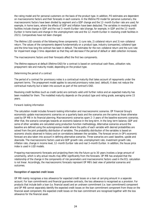the rating model and for personal customers on the basis of the product type. In addition, PD estimates are dependent on macroeconomic factors and their forecasts in each scenario. In the lifetime PD model for personal customers, the macroeconomic factors have been divided by segment and a GDP change and the 12-month Euribor rate are used, for example, in home loans, where the effects of GDP and inflation have been deducted. The variables in revolving credit facilities include change in GDP and the real 3-month Euribor rate (change, for example, in GDP and the 12-month Euribor in home loans and change in the unemployment rate and the 12-month Euribor in revolving credit facilities in 2021). Comparatives have not been changed.

The lifetime LGD consists of the following three components: 1) cure rate, 2) collateral return and 3) non-collateral return. The values of the components depend fundamentally on a product type, industry (companies), collateral type and the time how long the contract has been in default. The estimates for the non-collateral return and the cure rate for impairment stage 3 time-dependent so that they will decrease if the period of default or debt collection increases.

The macroeconomic factors and their forecasts affect the first two components.

The lifetime exposure at default (lifetime EAD) for a contract is based on contractual cash flows, utilisation rate, prepayment rate and maturity model, depending on the product type.

#### *Determining the period of a contract*

The period of a contract for promissory notes is a contractual maturity that takes account of repayments under the payment terms. The prepayment model applies to secured promissory notes (excl. default). It does not reduce the contractual maturity but is taken into account as part of the contract's EAD.

Revolving credit facilities (such as credit cards) are contracts valid until further notice and an expected maturity has been modelled for them. The modelled maturity depends on the product type and rating grade, averaging some 15 years.

#### *Forward-looking information*

The calculation model includes forward-looking information and macroeconomic scenarios. OP Financial Group's economists update macroeconomic scenarios on a quarterly basis and the scenarios are the same as those otherwise used by OP MB in its financial planning. Macroeconomic scenarios spam 2–3 years of the baseline economic scenarios. After that, the scenario converges towards an economic balance in the long term. In the long-term balance, GDP and some of other variables are calculated using production function methodology. Alternative scenarios around the baseline are defined using the autoregressive model where the paths of each variable with desired probabilities are solved from the joint probability distribution of variables. The probability distribution of the variables is based on economic shocks observed in history and on correlations between the variables. The forecast errors in OP's economic forecast are also taken into account in defining alternative scenarios. Three scenarios are used: baseline, upside and downside. The macroeconomic factors used are GDP growth rate, unemployment rate, investment growth rate, inflation rate, change in income level, 12-month Euribor rate and real 3-month Euribor. In addition, the house price index is used in LGD models.

Preparing macroeconomic forecasts and projecting them into the future up to 30 years involves a large amount of uncertainty, which is why actual results may differ significantly from the forecasts. OP MB has analysed that the relationship of the change in the components of risk parameters and macroeconomic factors used in the ECL calculation is not linear. Accordingly, the macroeconomic forecasts represent OP MB's best view of potential scenarios and outcomes.

#### *Recognition of expected credit losses*

OP MB mainly recognises a loss allowance for expected credit losses on a loan at carrying amount in a separate account. For loan commitments and financial guarantee contracts, the loss allowance is recognised as a provision. For products that include both a loan (i.e. financial asset) and an undrawn commitment (i.e. loan commitment) component and OP MB cannot separately identify the expected credit losses on the loan commitment component from those on the financial asset component, the expected credit losses on the loan commitment are recognised together with the loss allowance for the financial asset.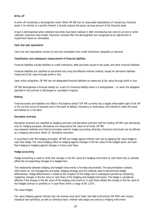#### *Write-off*

A write-off constitutes a derecognition event. When OP MB has no reasonable expectations of recovering a financial asset in its entirety or a portion thereof, it directly reduces the gross carrying amount of the financial asset.

A loan is derecognised when collateral securities have been realised or debt rescheduling has come to an end or when collection measures have ended. Payments received after the derecognition are recognised as an adjustment to impairment losses on receivables.

#### Cash and cash equivalents

Cash and cash equivalents consist of cash and receivables from credit institutions repayable on demand.

#### Classification and subsequent measurement of financial liabilities

Financial liabilities include liabilities to credit institutions, debt securities issued to the public and other financial liabilities.

Financial liabilities are classified at amortised cost using the effective interest method, except for derivative liabilities measured at fair value through profit or loss.

Upon initial recognition, OP MB has not designated financial liabilities as measured at fair value through profit or loss.

OP MB derecognises a financial liability (or a part of a financial liability) when it is extinguished – i.e. when the obligation specified in the contract is discharged or cancelled or expires.

### Netting

Financial assets and liabilities are offset in the balance sheet if OP MB currently has a legally enforceable right of set-off in the normal course of business and in the event of default, insolvency or bankruptcy, and intends to settle the asset and liability on a net basis.

#### Derivative contracts

Derivative contracts are classified as hedging contracts and derivative contracts held for trading. OP MB uses derivatives only for hedging purposes. Derivatives are measured at fair value at all times. OP MB has prepared methods and internal principles used for hedge accounting, whereby a financial instrument can be defined as a hedging instrument. (Note 10. Derivative contracts)

In accordance with the hedging principles, OP MB can hedge against interest rate risk by applying fair value hedge or cash flow hedge. Fair value hedging refers to hedging against changes in the fair value of the hedged asset, and cash flow hedging to hedging against changes in future cash flows.

#### Hedge accounting

Hedge accounting is used to verify that changes in the fair value of a hedging instrument or cash flows fully or partially offset the corresponding changes of a hedged item.

The relationship between hedging and hedged instruments is formally documented. The documentation contains information on risk management principles, hedging strategy and the methods used to demonstrate hedge effectiveness. Hedge effectiveness is tested at the inception of the hedge and in subsequent periods by comparing respective changes in the fair value or cash flows of the hedging and hedged instrument. The hedge is considered effective if the change in the fair value of the hedging instrument or in cash flows offsets the change in the fair value of the hedged contract or portfolio or in cash flows within a range of 80–125%.

#### Fair value hedges

Fair value hedging against interest rate risk involves long-term fixed-rate debt instruments (OP MB's own issues), individual loan portfolios, as well as individual loans. Interest rate swaps are used as a hedging instrument.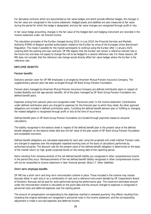For derivative contracts which are documented as fair value hedges and which provide effective hedges, the changes in the fair value are recognised in the income statement. Hedged assets and liabilities are also measured at fair value during the period for which the hedge is designated, and any fair value changes are recognised through profit or loss.

In fair value hedge accounting, changes in the fair value of the hedged item and hedging instrument are recorded in the income statement under net interest income.

The calculation principles of the Euribor changed during 2019. In July 2019, the Financial Services and Markets Authority (FSMA) of Belgium granted authorisation related to the Euribor by virtue of the European Union Benchmark Regulation. This made it possible for the market participants to continue using the Euribor after 1 January 2020, covering both the existing and new contracts. OP MB expects that the Euribor will remain a reference interest rate in the future too and does not expect to change the risk to be hedged to a second reference rate. For these reasons, OP MB does not consider that the reference rate change would directly affect fair value hedges where the Euribor is the reference rate.

### EMPLOYEE BENEFITS

#### Pension benefits

Statutory pension cover for OP MB employees is arranged by Ilmarinen Mutual Pension Insurance Company. The supplementary pension plan has been arranged through OP Bank Group Pension Foundation.

Pension plans managed by Ilmarinen Mutual Pension Insurance Company are defined contribution plans in respect of funded disability and old-age pension benefits. All of the plans managed by OP Bank Group Pension Foundation are defined benefit plans.

Expenses arising from pension plans are recognised under "Personnel costs" in the income statement. Contributions under defined contribution plans are charged to expenses for the financial year to which they relate. No other payment obligations are included in defined contribution plans. Curtailing the defined benefit pension plan or fulfilling or changing the related obligation is recognised through profit or loss at the time of occurrence.

Defined benefit plans in OP Bank Group Pension Foundation are funded through payments based on actuarial calculations.

The liability recognised in the balance sheet in respect of the defined benefit plan is the present value of the defined benefit obligation on the balance sheet date less the fair value of the plan assets of OP Bank Group Pension Foundation and acceptable insurance.

Defined benefit obligations are calculated separately for each plan using the projected unit credit method. Pension costs are charged to expenses over the employees' expected working lives on the basis of calculations performed by authorised actuaries. The discount rate for the present value of the defined benefit obligation is determined on the basis of the market return on high-grade corporate bonds on the closing date of the reporting period.

Items resulting from remeasurements of the net defined benefit liability are recognised in other comprehensive income in the period they occur. Remeasurements of the net defined benefit liability recognised in other comprehensive income will not be reclassified to income statement in later financial periods. (Note 17. Other liabilities)

#### Short-term employee benefits

OP MB has a short-term and long-term remuneration scheme in place. Those included in the scheme may receive bonuses either in cash only or as a combination of cash and a reference instrument decided by OP Cooperative's Board of Directors. Bonuses will be paid for work performed during the performance year. The maximum estimated amount under the remuneration scheme is calculated on the grant date and the amount charged to expenses is recognised in personnel costs and deferred expenses over the vesting period.

The amount of compensation corresponding to the objectives reached is reviewed quarterly. Any effects resulting from reviewing the original estimates are recognised in personnel costs in the income statement, and the corresponding adjustment is made in accrued expenses and deferred income.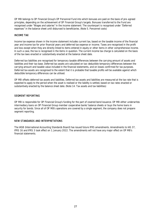OP MB belongs to OP Financial Group's OP Personnel Fund into which bonuses are paid on the basis of pre-agreed principles, depending on the achievement of OP Financial Group's targets. Bonuses transferred to the Fund are recognised under "Wages and salaries" in the income statement. The counterpart is recognised under "Deferred expenses" in the balance sheet until disbursed to beneficiaries. (Note 5. Personnel costs)

### INCOME TAX

Income tax expense shown in the income statement includes current tax, based on the taxable income of the financial year and income tax for prior financial years and deferred tax expense or income. Taxes are recognised in the profit and loss except when they are directly linked to items entered in equity or other items in other comprehensive income. In such a case, the tax is recognised in the items in question. The current income tax charge is calculated on the basis of the tax laws enacted or substantively enacted at the balance sheet date.

Deferred tax liabilities are recognised for temporary taxable differences between the carrying amount of assets and liabilities and their tax base. Deferred tax assets are calculated on tax-deductible temporary differences between the carrying amount and taxable value included in the financial statements, and on losses confirmed for tax purposes. Deferred tax assets are recognised to the extent that it is probable that taxable profits will be available against which deductible temporary differences can be utilised.

OP MB offsets deferred tax assets and liabilities. Deferred tax assets and liabilities are measured at the tax rate that is expected to apply to the period when the asset is realised or the liability is settled, based on tax rates enacted or substantively enacted by the balance sheet date. (Note 14. Tax assets and tax liabilities)

### SEGMENT REPORTING

OP MB is responsible for OP Financial Group's funding for the part of covered bond issuance. OP MB either underwrites intermediary loans on OP Financial Group member cooperative banks' balance sheets or buys the home loans in security for bonds. Since all of OP MB's operations are covered by a single segment, the company does not prepare segment reporting.

#### NEW STANDARDS AND INTERPRETATIONS

The IASB (International Accounting Standards Board) has issued future IFRS amendments. Amendments to IAS 37, IFRS 16 and IFRS 3 took effect on 1 January 2022. The amendments will not have any major effect on OP MB's financial statements.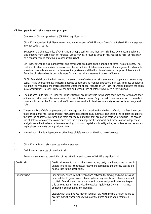#### OP Mortgage Bank's risk management principles

1 Overview of OP Mortgage Bank's (OP MB's) significant risks

OP MB's independent Risk Management function forms part of OP Financial Group's centralised Risk Management in organisational terms.

Because of the characteristics of OP Financial Group's business and industry, risks have two fundamental principles differing from each other: OP Financial Group may earn revenue through risks (earnings risks) or risks may be a consequence of something (consequential risks).

OP Financial Group's risk management and compliance are based on the principle of three lines of defence. The first line of defence comprises business lines, the second line of defence comprises risk management and compliance functions independent of the business lines/divisions and the third line of defence comprises Internal Audit. Each line of defence has its own role in performing the risk management process efficiently.

At OP Financial Group, the first line and the second line of defence in risk management cooperate on an ongoing basis. This is to ensure that all expertise needed to develop and manage operations is in use. The lines of defence build the risk management process together where the special features of OP Financial Group's business are taken into consideration. Responsibilities of the first and second lines of defence have been clearly divided.

- The business units fulfil OP Financial Group's strategy, are responsible for planning their own operations and their efficient and effective implementation and for their internal control. Only the unit concerned makes business decisions and is responsible for the quality of its customer service, its business continuity as well as its earnings and risks.
- The second line of defence prepares a risk management framework within the limits of which the first line of defence implements risk-taking and risk management related to daily business. The second line of defence supports the first line of defence by consulting them especially in matters that are part of their own expertise. The second line of defence also oversees compliance with the risk management framework and carries out an independent analysis related to the balance between earnings, risks and capital and liquidity acting as buffers as well as ensuring business continuity during incidents too.
- Internal Audit that is independent of other lines of defence acts as the third line of defence.
- 2 OP MB's significant risks sources and management
- 2.1 Definitions and sources of significant risks

Below is a summarised description of the definitions and sources of OP MB's significant risks.

| Credit risks    | Credit risk refers to the risk that a contracting party to a financial instrument is<br>unable to fulfil their contractual repayment obligations and thereby causes a fi-<br>nancial loss to the other party.                                                                                                                                                                                                                                                                                                                                                |
|-----------------|--------------------------------------------------------------------------------------------------------------------------------------------------------------------------------------------------------------------------------------------------------------------------------------------------------------------------------------------------------------------------------------------------------------------------------------------------------------------------------------------------------------------------------------------------------------|
| Liquidity risks | Liquidity risk arises from the imbalance between the timing and amounts cash<br>flows related to granting and obtaining financing, insufficient collateral needed<br>to obtain financing and the temporal and counterparty- and instrument-spe-<br>cific concentration. This may lead to weaker liquidity for OP MB if it has not<br>engaged in sufficient liquidity planning.<br>Liquidity risk also involves market liquidity risk, which means a risk of failing to<br>execute market transactions within a desired time and/or at an estimated<br>price. |
|                 |                                                                                                                                                                                                                                                                                                                                                                                                                                                                                                                                                              |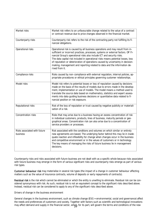| Market risks                             | Market risk refers to an unfavourable change related to the value of a contract<br>or contract revenue due to price changes observed in the financial market.                                                                                                                                                                                                                                                                                                                                                     |
|------------------------------------------|-------------------------------------------------------------------------------------------------------------------------------------------------------------------------------------------------------------------------------------------------------------------------------------------------------------------------------------------------------------------------------------------------------------------------------------------------------------------------------------------------------------------|
| Counterparty risks                       | Counterparty risk refers to the risk of the contracting party not fulfilling its fi-<br>nancial obligations.                                                                                                                                                                                                                                                                                                                                                                                                      |
| Operational risks                        | Operational risk is caused by all business operations and may result from in-<br>sufficient or incorrect practices, processes, systems or external factors. OP Fi-<br>nancial Group's operational risks also include ICT and security risks.<br>The data capital risk included in operational risks means potential losses, loss<br>of reputation or deterioration of operations caused by uncertainty in decision-<br>making, management and reporting related to data and the information de-<br>rived from it. |
| Compliance risks                         | Risks caused by non-compliance with external regulation, internal policies, ap-<br>propriate procedures or ethical principles governing customer relationships.                                                                                                                                                                                                                                                                                                                                                   |
| Model risks                              | Model risk refers to potential losses or loss of reputation caused by decisions<br>made on the basis of the results of models due to errors made in the develop-<br>ment, implementation or use of models. The model means a method used to<br>translate the source data based on mathematics, statistics and expert assess-<br>ments into data guiding business decisions or quantitative data related to fi-<br>nancial position or risk exposure.                                                              |
| Reputational risks                       | Risk of the loss of reputation or trust caused by negative publicity or materiali-<br>sation of a risk.                                                                                                                                                                                                                                                                                                                                                                                                           |
| Concentration risks                      | Risks that may arise due to a business having an excess concentration of risk<br>in individual customers, products, lines of business, maturity periods or geo-<br>graphical areas. Concentration risk can also arise due to a concentration of<br>service providers or processes.                                                                                                                                                                                                                                |
| Risks associated with future<br>business | Risk associated with the conditions and volumes on which similar or entirely<br>new agreements are based. The underlying factor behind this may lie in inade-<br>quate reaction and inflexibility for change when changes occur in the business<br>and competitive environment or in the values of customers or in technology.<br>The key means of managing the risks of future business lie in management<br>decisions.                                                                                          |

Counterparty risks and risks associated with future business are not dealt with as a specific whole because risks associated with future business may emerge in the form of various significant risks and counterparty risks emerge as part of various risk types.

Customer behaviour risk may materialise in several risk types (the impact of a change in customer behaviour affecting matters such as the value of insurance contracts, volume of deposits or early repayments of contracts).

Residual risk is the risk which cannot be eliminated or which the entity is unwilling to eliminate. Residual risk can be considered synonymous with risk. As such, residual risk is not an equivalent concept to the significant risks described above. Instead, residual risk can be considered to apply to any of the significant risks described above.

Drivers of change in the business environment

General changes in the business environment, such as climate change (ESG = environmental, social and governance) affect the needs and preferences of customers and society. Together with factors such as scientific and technological innovations may affect demand and supply in the financial sector, which, for its part, will govern the terms and conditions of the new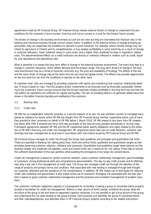agreements made by OP Financial Group. OP Financial Group reviews external drivers of change to understand the preconditions for the customer's future success. Ensuring such future success is crucial for the Group's future success.

The drivers of change in the business environment as such are not risks but they are channelled into financial risks in the banking and insurance business through various impact chains. In addition to the external drivers of change providing opportunities, they can jeopardise the conditions to operate in some industries. For example, where climate change may contribute to agriculture in Finland and its competitiveness, it may weaken profitability in some industries as a result of change in customer behaviour, lower collateral values in some areas, and a higher-than-predicted increase in regulation-related costs. The abovementioned effects on a credit institution are directly or indirectly reflected in matters such as credit, liquidity, and reputational and operational risks.

What is essential is to assess the long-term effect of change in the external business environment. The trend may lead to a change in customer behaviour, which affects demand and the product range. The long-term drivers of change in the business environment may be a threat to business continuity (e.g. the price and availability of funding). The effects of the one and the same driver of change may at the same time be very local and global trends. The effects may provide opportunities on the one hand but can limit the conditions to operate on the other hand.

At customer level, risks are managed by providing customers with advice and monitoring how customer relationship develops. Pricing is based on risks. The ESG projects and/or investments to be financed must be financially sustainable. Attending to the customers' future success ensures that the Group's business remains profitable in the long term too and that the risk buffers for operations are sufficient for capital and liquidity. The aim of providing advice is to generate added value that shows in the better financial standing and wellbeing of the customer.

#### 2.2 Banking risks

#### 2.2.1 Credit risks

OP MB has no independent customer business or a service network of its own. Its loan portfolio consists of mortgage loans placed as collateral for bonds, which OP MB has bought from OP Financial Group member cooperative banks, and of loans they granted to their customers on behalf of OP MB before 1 March 2016. OP MB ceased to buy loans from OP cooperative banks after IFRS 9 entered into force, and new purchases of this kind are only possible sporadically or during crises. Framework agreements between OP MB and the OP cooperative banks specify obligations and rights related to the utilisation of OP MB's financing, and credit risk management. OP cooperative banks take care of credit decisions, customer relationships and loan management at local level in accordance with instructions issued by OP Financial Group and OP MB.

OP Financial Group manages its credit risk through the Group-level guidelines and principles and quantitative risk limits. These are specified in Banking risk-taking policy lines, limits and control limits, qualitative and quantitative targets as well principles governing customer selection, collateral and covenants. Quantitative and qualitative target levels balance out the business targets and moderate risk appetite. Limits and control limits set a maximum for risk-taking. These help to ensure the sufficient diversification of the loan portfolio while avoiding the emergence of too large risk concentrations.

Credit risk management is based on careful customer selection, active customer relationship management, good knowledge of customers, strong professional skills and comprehensive documentation. The day-to-day credit process and its effectiveness play a key role in the management of credit risks. The Group also manages credit risk through the selection of the range of products and product terms and conditions. Risk associated with new lending is managed through well thoughtout customer selections and the avoidance of risk concentrations. In addition, OP MB makes use of techniques for reducing credit risks (collateral and guarantees). It also makes active use of covenants. Managing risk associated with the loan portfolio is based on good customer relationship management and the proactive and consistent management of problem situations.

The customer's sufficient repayment capacity is a prerequisite for all lending. Creating a group of connected clients properly provide a foundation for credit risk management. Without a clear picture of which parties constitute the group, what the structure of the group is like and what its repayment capacity comprises, it is not possible to get a true picture of the group and understand the risk what lending to the group involves. Each business unit identifies the group of connected clients and their interdependencies, and describes them in OP Financial Group's systems according to the related instructions.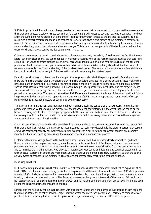Sufficient up-to-date information must be gathered on any customers that cause a credit risk, to enable the assessment of their creditworthiness. Creditworthiness comes from the customer's willingness to pay and repayment capacity. They both affect the customer's rating grade. Sufficient and correct basic information is used to ensure that the customer can be rated with a correct credit rating model and that the borrower grade gives a true picture of the customer's creditworthiness risk. Each business unit ensures that its customers' borrower grades are constantly valid and up to date and, if necessary, updates the grade if the customer's situation changes. This is how the loan portfolio of the bank concerned and the entire OP Financial Group can be monitored on a real-time basis.

Collateral management is based on an independent collateral assessment, the validity of pledges and the fact that the collateral can be realised so that we can continuously maintain a realistic view of the hard collateral securities that secure receivables. The values of assets pledged in security of receivables must give a true and real-time picture of the collateral position related to the entire loan portfolio as well as individual customers. When valuing illiquid collateral securities, it is necessary to consider the financial standing of the collateral asset owner. The weaker is the asset owner's financial standing, the bigger should be the weight of the realisation value in estimating the collateral asset.

Financing decision-making is based on the principle of segregation under which the person preparing financing may not make the financing decision alone. Considering that financing decisions are about risk-taking decisions, those making the decisions must be aware of all information relevant to decision-making. All credit risk decisions are made on a businessspecific basis. Decision-making is guided by OP Financial Group's Risk Appetite Statement (RAS) and the target risk exposure specified in the risk policy. Decisions that deviate from the target risk status specified in the risk policy must be explained on a broader basis. The central cooperative's Risk Management assesses compliance of the most significant financing projects with the risk policy and reports to the management of OP Financial Group and the management of Group banking entities a situational picture of compliance with the risk policy.

The bank's senior management and management body monitor closely the bank's credit risk exposure. The bank's management is responsible for keeping the members of the management body informed in the event that the bank's operational risk-taking deviates from the risk policy approved by the management body, in order for the Board of Directors, as its role requires, to monitor the trend in the bank's risk exposure and, if necessary, issue instructions to the management at operational level concerning risk-taking.

From the bank's perspective, credit risk materialises in a situation where the customer becomes insolvent and cannot fulfil their credit obligations without the bank taking measures, such as realising collateral. It is therefore important that customers whose repayment capacity has weakened or a significant threat is posed to their repayment capacity are promptly identified in both the financing process and the customer relationship management process.

Customers that are most significant to the bank and whose risk of default has increased clearly or another significant threat is related to their repayment capacity must be placed under special control. For these customers, the bank must prepare an action plan on what measures should be taken to resolve the customer' situation from the bank's perspective and to minimise the risk the bank may be exposed if materialised. Monitoring and documenting potential customers in default or actual customer in default are more intensive and extensive than among less risky customers, so that the bank is actively aware of changes in the customer's situation and can immediately react to the changed situation.

#### Measuring credit risk

OP Financial Group measures credit risk using the ratio of economic capital requirement for credit risk to exposures at default (EAD), the ratio of non-performing receivables to exposures, and the ratio of expected credit losses (ECL) to exposures at default EAD. Limits have been set for these metrics in the risk policy. In addition, loan portfolio concentrations are monitored by customer, industry and country. The Group also measures the growth differential of the loan portfolio and credit risk economic capital to ensure balance between growth and risk-taking. Limits deriving from Group-level limits have been set for the business segments engaged in banking.

Limits set in the risk policy can be supplemented with qualitative targets set in the operating instructions of each segment that may be segment- or entity-specific. Targets may be set for the entire loan portfolio or separately to personal or corporate customer financing. Furthermore, it is possible set targets measuring the quality of the credit risk process.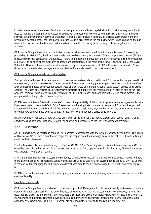In order to ensure sufficient diversification of the loan portfolio and efficient capital allocation, customer segmentation is used to manage the loan portfolio. Customer segments have been defined to ensure that receivables in each individual segment are homogenous in terms of credit risk to enable a coordinated risk policy. By utilising segmentation and the breakdown by rating grade, the loan portfolio target status is presented in the risk policy, which is not binding on the business unit concerned but the business unit should control credit risk-taking in such a way that the target state will be achieved.

OP Financial Group utilises internal credit risk models in risk assessment. In addition to the models used for assessing probability of default (PD), the Group uses models for predicting loss given default (LGD) and exposure at default (EAD) to measure credit risk. Exposure at Default (EAD) refers to the estimated amount of the bank's receivable from the customer at default. Off-balance-sheet exposures at default are determined on the basis of the conversion factor (CF). Loss Given Default (LGD) is an estimate of a financial loss incurred by the bank, as a share of EAD, if the customer defaults. Procedures based on model risk management are applied to the models used in credit risk assessment.

### OP Financial Group's internal credit rating system

'Rating' refers to the use of models, methods, processes, supervision, data collection and IT systems that support credit risk management, credit risk assessment, the assignment of exposures to rating grades or pools, and the quantification of default and loss estimates developed for certain types of exposures. OP Financial Group's rating system applies to all Group entities. The Board of Directors of OP Cooperative considers and approves the credit rating principles as part of the Risk Appetite Framework document. From the viewpoint of OP MB, the most significant part of the credit rating system is the rating model for the private customer portfolio.

OP MB uses an internal 16-level scale of A‒F to assess the probability of default for its private customer agreements, with F representing borrowers in default. OP MB assesses monthly all private customer agreements' PD using a loan portfolio rating model. The loan portfolio rating is based on a customer's basic data, payment behaviour and other transaction history data. Average PDs have been calculated for each borrower grade for a period of 12 months.

Risk Management maintains a more detailed description of the internal credit rating system and reports regularly on its effectiveness as part of OP Financial Group's risk analysis and separately to the Risk Management Committee.

#### 2.2.2 Liquidity risks

As OP Financial Group's mortgage bank, OP MB operates in accordance with the Act on Mortgage Credit Banks. The Board of Directors of OP MB sets a quantitative target for the proportion of the mortgage bank to the entire OP Financial Group's credit institution business.

The Banking risk policy defines a funding risk limit for OP MB. OP MB's funding risk consists of loans bought from OP cooperative banks, issued bonds and intermediary loans granted to OP cooperative banks. Furthermore, OP MB finances excess collateral from Group Treasury.

In its annual planning, OP MB assesses the sufficiency of available collateral in the banks' balance sheets in order to implement planned issues. OP cooperative banks' mortgages are used as collateral for covered bonds issued by OP MB. OP MB is responsible for managing the sufficiency of collateral according to the Act on Mortgage Credit Banks and other regulations.

OP MB ensures the management of its daily liquidity and, as part of its annual planning, makes an assessment of the sufficiency of liquidity.

#### Identifying liquidity risks

OP Financial Group's Treasury and other business units plus Risk Management continuously identify and assess risks associated with funding and business and other business environment. In the risk assessment of new products, services, business models, processes and systems, every business unit must take account of liquidity risks, too. At least once a year, Risk Management and business representatives perform a comprehensive liquidity risk assessment to ensure that the capital adequacy assessment process (ILAAP) is appropriate and adequate in relation to the Group's liquidity risks.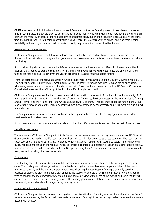OP MB's key source of liquidity risk is banking where inflows and outflows of financing does not take place at the same time. In such a case, the bank is exposed to refinancing risk due mainly to lending with a long maturity and the differences between the maturity of deposit funding dependent on customer behaviour and the illiquidity of receivables. At the same time, the bank is exposed to funding concentration risk as regards the counterparties of deposit and wholesale funding, availability and maturity of finance. Lack of market liquidity may reduce liquid assets held by the bank.

#### Assessment and measurement

OP Financial Group assesses the future cash flows of receivables, liabilities and off-balance-sheet commitments based on the contract maturity date or repayment programme, expert assessments or statistical models based on customer behaviour history.

Structural funding risk is measured on the difference between cash inflows and cash outflows in different maturities. In addition, the Group calculates the regulatory Net Stable Funding Ratio (NSFR) which determines the amount of stable funding sources expected to span over one year in proportion to assets requiring stable funding.

From the perspective of the relevant authority, funding liquidity risk is measured using the Liquidity Coverage Ratio (LCR). The sufficiency of the liquidity requirement in terms of time is assessed though maturing items on the balance sheet, wherein agreements are not renewed but ended at maturity. Based on the economic perspective, OP Central Cooperative Consolidated measures the sufficiency of the liquidity buffer through stress testing.

OP Financial Group measures funding concentration risk by calculating the amount of bond funding with a maturity of 12 months and rolling 3 months. In the time horizon of less than 12 months, the Group measures the total wholesale funding amount, comprising short- and long-term wholesale funding, for 3 months. When it comes to deposit funding, the Group monitors the concentration of the largest deposit volumes. Concentrations by counterparty and instrument are also subject to monitoring.

The Group measures its asset encumbrance by proportioning encumbered assets to the aggregate amount of balance sheet assets and collateral securities.

Risk assessment and measurement methods related to liquidity buffer investments are described as part of market risks.

#### Liquidity stress testing

The adequacy of OP Financial Group's liquidity buffer and buffer items is assessed through various scenarios. OP Financial Group-specific and market-specific scenarios as well as their combination are used as stress scenarios. The scenarios must cover both short- and long-term stress conditions. When measuring member bank-specific structural funding risk, the liquidity requirement based on the regulatory stress scenario is counted as a deposit in Treasury on a bank-specific basis. A reverse stress test is used in connection with the Group's Recovery Plan. Senior management confirms the scenarios to be used, use and reporting of stress test results.

#### Funding plan

In its funding plan, OP Financial Group must take account of its member banks' estimate of the funding need for years to come. The funding plan defines guidelines for wholesale funding for the next few years. Implementation of the plan is monitored regularly and the plan is updated, where needed, during the year. Deposit funding is primarily based on the business strategy and plan. The funding plan specifies the sources of wholesale funding and presents how the Group covers its need for the most important wholesale funding sources in view of the depth of the market and sufficient diversification, as well as defines decision-making powers. The funding plan must also take account of unfavourable scenarios lasting several years and of abrupt changes in key funding items.

#### Non-euro liquidity management

OP Financial Group carries out non-euro funding due to the diversification of funding sources. Since almost all the Group's receivables are in euros, the Group mainly converts its non-euro funding into euros through derivative transactions in connection with an issue.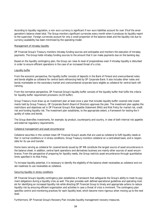According to liquidity regulation, a non-euro currency is significant if non-euro liabilities account for over 5% of the amalgamation's balance sheet total. The Group monitors significant currencies every month when it produces its liquidity report to the supervisor. Foreign currencies account for only a small proportion of the balance sheet and the liquidity risk due to currency availability has been minimised by the operating model.

#### Management of intraday liquidity

OP Financial Group's Treasury monitors intraday funding sources and anticipates and monitors the execution of intraday payments. The Group holds intraday funding sources to the amount that it can make payments due on the banking day.

Based on the liquidity contingency plan, the Group can raise its level of preparedness even if intraday liquidity is disturbed in order to ensure efficient operations in the case of an increased threat of a crisis.

#### Liquidity buffer

From the economic perspective, the liquidity buffer consists of deposits in the Bank of Finland and unencumbered notes and bonds eligible as collateral for central bank refinancing held by OP Corporate Bank. It also includes other notes and bonds marketable on the secondary market and unencumbered corporate loans eligible as collateral for central bank refinancing.

From the normative perspective, OP Financial Group's liquidity buffer consists of the liquidity buffer that fulfils the criteria for liquidity buffer requirement provisions (=LCR buffer).

Group Treasury must draw up an investment plan at least once a year that includes liquidity buffer covered note investments held by Group Treasury. OP Corporate Bank's Board of Directors approves the plan. The investment plan applies the restrictions and objectives set in OP Financial Group's Risk Appetite Statement (RAS) and Risk Policy for market risk, credit risk and funding liquidity risk. The investment plan establishes, to the appropriate extent, a framework for testing the liquidity of notes and bonds.

The Group diversifies investments, for example, by product, counterparty and country, in view of both internal risk appetite and external regulatory requirements.

#### Collateral management and asset encumbrance

Collateral securities in this context mean OP Financial Group's assets that are used as collateral to fulfil liquidity needs either in normal conditions or in stress conditions. Group Treasury monitors collateral on a centralised basis, and is responsible for its use and transfer.

Home loans serving as collateral for covered bonds issued by OP MB constitute the largest source of asset encumbrance in the balance sheet. In addition, central bank operations and derivatives business are mainly other sources of asset encumbrance. From the perspective of preparing for liquidity needs, the Group restricts asset encumbrance through quantitative limits specified in its Risk Policy.

To increase liquidity potential, it is necessary to identify the eligibility of the balance sheet receivables as collateral and create readiness to use receivables as collateral.

#### Securing liquidity in stress conditions

OP Financial Group's liquidity contingency plan establishes a framework that safeguards the Group's ability to meet its payment obligations during a liquidity crisis as well. The plan provides well-defined operational guidelines and operating models for identifying an increased liquidity risk while directing OP Financial Group to timely and appropriate actions to reduce liquidity risk by ensuring efficient organisation and activities in case a threat of crisis is imminent. The contingency plan specifies control and monitoring practices for each liquidity level, which become more rigorous when moving up to the next level.

Furthermore, OP Financial Group's Recovery Plan includes liquidity management recovery measures.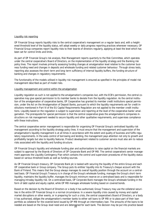#### Liquidity risk reporting

OP Financial Group reports liquidity risks to the central cooperative's management on a regular basis and, with a heightened threshold level of the liquidity status, will adopt weekly or daily progress reporting practices whenever necessary. OP Financial Group companies report liquidity risks to their boards of directors regularly, applying at least the level which has been set for control limits and limits.

As part of OP Financial Group's risk analysis, Risk Management reports quarterly to the Risk Committee, which operates under the central cooperative's Board of Directors, on the implementation of the liquidity strategy and the Banking risk policy lines. The report involves primarily assessing funding changes at amalgamation level relative to the customer business funding need and changes in deposits and wholesale funding and related customer behaviour. Through stress tests, reporting also assesses the short-term and long-term sufficiency of internal liquidity buffers, the funding structure of banking and changes in regulatory requirements.

The functionality of the models utilised in liquidity risk management is ensured as specified in the principles of model risk management described as part of model risks.

#### Liquidity management and control within the amalgamation

Liquidity regulation as such is not applied to the amalgamation's companies but, with the ECB's permission, the central cooperative may give special permission to its member banks to deviate from the liquidity regulation. As the central institution of the amalgamation of cooperative banks, OP Cooperative has granted its member credit institutions special permission, under the Act on the Amalgamation of Deposit Banks, pursuant to which the liquidity requirements set for credit institutions mentioned in Part VI of the EU Capital Requirements Regulation are not applied to the member credit institutions. Liquidity based on the regulation is subject to supervision and reporting at the level of the cooperative banks' amalgamation. The prerequisite for special permission is that the central cooperative gives the amalgamation's companies instructions on risk management needed to secure liquidity and other qualitative requirements, and supervises compliance with these instructions.

The central cooperative senior management is responsible for organising OP Financial Group's centralised liquidity risk management according to the liquidity strategy policy lines. It must ensure that the management and supervision of the amalgamation's liquidity management is at all times in accordance with the extent and quality of business and fulfils regulatory requirements. In the sales control of borrowing and lending, the management pays attention not only to growth and profitability targets but also to liquidity features. Product development related to customer service must also aim to reduce risks associated with the liquidity and funding structure.

OP Financial Group's liquidity and wholesale funding plan and authorisations to raise capital on the financial markets are subject to approval by the Boards of Directors of OP Corporate Bank and OP MB. The central cooperative's senior management approves the Liquidity Contingency Plan which contains the control and supervision procedures of the liquidity status based on various threshold levels as well as funding sources.

As OP Financial Group's treasury, OP Corporate Bank plc is tasked with securing the liquidity of the entire Group and each OP cooperative bank or Group company. The Group puts its entities' liquidity into its Treasury's cheque account with the Bank of Finland. This means that the Group always manages its overall liquidity position through the account on a centralised basis. OP Financial Group's Treasury is in charge of the Group's wholesale funding, manages the Group's short-term liquidity, maintains the liquidity buffer, manages the Group's minimum reserve on a centralised basis and is responsible for managing intraday liquidity risk. On a centralised basis, OP Corporate Bank manages the Group's wholesale funding in the form of debt capital and equity capital, while OP MB manages wholesale funding based on covered bonds.

Based on the decision by the Board of Directors or a body it has authorised, Group Treasury may use the collateral securities in the entire OP Financial Group in a normal circumstance. In a severe liquidity crisis caused by money and capital market disruptions or other events, or in preparing for such a crisis, the central cooperative's Board of Directors, or a body it has authorised, obliges the amalgamation's member banks to either sell loans to OP MB or to place part of their loan portfolio as collateral for the covered bond issued by OP MB through an intermediary loan. The amounts of the loans to be needed are based on the Group-level need and are determined for each bank. The decision may be put into practice based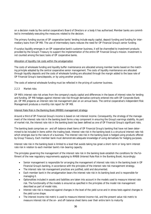on a decision made by the central cooperative's Board of Directors or a body it has authorised. Member banks are committed to immediately executing the measures related to the decision.

The primary funding sources of OP cooperative banks' lending include equity capital, deposit funding and funding for intermediary loans from OP MB. The use of intermediary loans reduces the need for OP Financial Group's senior funding.

If surplus liquidity emerges in an OP cooperative bank's customer business, it will be channelled to investment products provided by the Group's Treasury to support the implementation of the entire OP Financial Group's mission. Investment is not counted among the basic tasks of OP cooperative banks.

#### Allocation of liquidity risk costs within the amalgamation

The costs of wholesale funding and liquidity buffer maintenance are allocated among member banks based on the matching principle adopted by the central cooperative senior management. The costs of liquidity maintenance are allocated through liquidity deposits and the costs of wholesale funding are allocated through the margin added to the base rate of OP Financial Group's loans/deposits, or by using another practice.

The costs of external wholesale funding must be reflected in the pricing of customer business.

#### 2.2.3 Market risks

OP MB's interest rate risk arises from the company's equity capital and differences in the bases of interest rates for lending and funding. OP MB hedges against interest rate risk through derivative contracts entered into with OP Corporate Bank plc. OP MB prepares an interest rate risk management plan on an annual basis. The central cooperative's independent Risk Management produces a monthly risk report for OP MB.

#### Interest Rate Risk in the Banking Book (IRRBB) management strategy

Around a third of OP Financial Group's income is based on net interest income. Consequently, the strategy of the management of the interest rate risk in the banking book forms a key component in ensuring the Group's earnings stability. As part of market risk, the interest rate risk in the banking book has been defined as one of OP Financial Group's significant risks.

The banking book comprises on- and off-balance sheet items of OP Financial Group's banking that have not been determined to be included in items within the trading book. Interest rate risk in the banking book is a structural interest rate risk which emerges due to the nature of a business. The interest rate risk in the banking book is hedged using products offered by Group Treasury. Each member bank must demonstrate adequate knowledge of using derivatives for hedging purposes.

Interest rate risk in the banking book is limited to a level that avoids taking too great a short-term or long-term interest rate risk in relation to each member bank's risk-bearing capacity.

The principles governing the management of the interest rate risk in the banking book establish the conditions for the fulfilment of the new regulatory requirements applying to IRRBB (Interest Rate Risk in the Banking Book). Accordingly:

- Senior management is responsible for arranging the management of interest rate risks in the banking book in OP Financial Group's banking, in accordance with the principles of the interest rate risk management strategy*.*
- The interest rate risk management practices are justified, solid and documented*.*
- Each member bank in the amalgamation bears the interest rate risk in its banking book and is responsible for managing it.
- Optionalities included in assets and liabilities are taken into account in the models used to measure interest rate risk. The functionality of the models is ensured as specified in the principles of the model risk management described as part of model risks.
- Interest rate risk is measured against changes in the level of the yield curve and in stress tests against changes in the yield curve shape.
- The interest income risk metric is used to measure interest income risk, and the present value risk metric to measure interest risk of the on- and off-balance sheet items over their entire term to maturity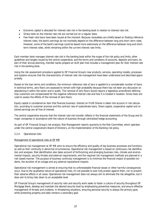- Economic capital is allocated for interest rate risk in the banking book in relation to interest rate risk.
- Stress tests on the interest rate risk are carried out on a regular basis.
- Few fixed-rate loans have been issued at the moment. Because receivables are chiefly based on floating reference interest rates, the bank's earnings do not markedly depend on the difference between long and short-term rates. However, some of the bank's earnings could be based more extensively on the difference between long and shortterm interest rates, while remaining within the current interest rate limits.

Each member bank manages interest rate risk in the banking book within the scope of the risk policy and limits, other guidelines and targets issued by the central cooperative, and the terms and conditions of accounts, deposits and loans. As part of their annual planning, member banks prepare an ALM plan that includes a management plan for their interest rate risk in the banking book.

Using the risk assessment procedure applied to OP Financial Group's new products, services, operating models, processes and systems ensures that the characteristics of interest rate risk management have been understood and described appropriately.

Based on the loan terms and conditions, the minimum reference rate of zero is applied to a considerable number of loans. In technical terms, zero floors are assessed to remain with high probability because there has not been any discussion on abandoning it within the sector and in public. The removal of zero floors would require a legislative amendment defining how customers are compensated for the negative reference interest rate and how it is treated in taxation. Stress tests are used to assess the effects of the removal of zero floors.

Equity capital is considered an item that finances business. Interest on Profit Shares is taken into account in risk calculation, according to customer promise and the contract rate of subordinate loans. Share capital, cooperative capital and retained earnings are all free of interest.

The central cooperative ensures that the interest rate risk transfer reflects in the financial statements of the Group and its major companies in accordance with the nature of business through centralised hedge accounting.

As part of OP Financial Group's risk analysis, Risk Management reports quarterly to the Risk Committee, which operates under the central cooperative's Board of Directors, on the implementation of the Banking risk policy.

#### 2.2.4 Operational risks

#### Management of operational risks at OP MB

Operational risk management at OP MB aims to ensure the efficiency and quality of key business processes and functions, as well as their continuity in abnormal circumstances. Operational risk management is based on continuous risk identification and analyses. Risk identification also takes account of forthcoming and emerging business risks, climate and environmental impacts, security threats and external requirements, and the required risk management methods are planned in a risk-based manner. The purpose of business continuity management is to minimise the financial impact of possible incidents, the duration of an outage and any adverse reputational impacts.

Operational risk management is aimed at ensuring that no unforeseeable financial losses or other harmful consequences occur. Due to the qualitative nature of operational risks, it's not possible to ever fully protect against them, nor to prevent their adverse effects in all cases. Operational risk management does not always aim to eliminate the risk altogether, but it does aim to bring risks down to an acceptable level.

OP Financial Group's management of security risks and security work seeks to foster a culture of security throughout OP Mortgage Bank, develop and maintain the desired security level by emphasising preventive measures, and ensure effective management of threats and incidents. In threatening situations, ensuring personal security is always the primary goal, while protecting property and data remains a secondary goal.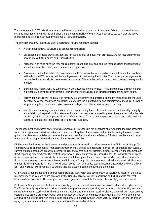The management of ICT risks aims at ensuring the security, availability and quick recovery of data communications and systems that support them during an incident. It is the responsibility of every system owner to see to it that the abovementioned goals are also achieved by external ICT service providers.

The key elements of OP Mortgage Bank's operational risk management include:

- A clear organisational structure and defined responsibilities
- Designation of process owners responsible for the efficiency and quality of processes, and for regulatorily compliance in line with their duties and responsibilities.
- Personnel who must have the required competences and qualifications, and the responsibilities and targets that are set and described clearly and communicated appropriately.
- Permissions and authorisations to access data and ICT systems that are based on work duties and that are limited to the data and ICT systems that the employee needs in performing their duties. The company's management is responsible for access rights management and control. This includes defining how to avoid inadequate segregation of duties.
- Ensuring that information and cyber security are adequate and up to date. This is implemented through monitoring, systematic technical arrangements, daily monitoring measures and targeted information security audits.
- Verifying the accuracy of all data. The company's management and process owners are responsible for the usability, integrity, confidentiality and availability of data with the aid of technical and administrative measures as well as for protecting data from unauthorised access and illegal or accidental information processing.
- Identification and categorisation of data repositories according their criticality, in view of confidentiality, integrity and availability. Responsibility for categorisation and the measures required to protect the data rests with the data repository owner. A data repository is a set of data created for a certain purpose, such as an application with databases or a data set or table created for analytical purposes.

The management and process owners within companies are responsible for identifying and evaluating the risks associated with business processes, services and products and the ICT systems they involve, and for implementing the controls required to achieve an acceptable risk level and ensure process functionality and efficiency. Efforts should be made to automate controls or support them with automation whenever possible.

OP Mortgage Bank enforces the framework and procedures for operational risk management in OP Financial Group. OP Financial Group's operational risk management framework is divided into backward-looking (e.g. operational risk events), current situation based and proactive procedures (risk and control self-assessment, business continuity management, and RCSA regarding new products). The central cooperative's Risk Management is responsible for OP Financial Group's operational risk management framework, its maintenance and development, and issues more detailed instructions on operational risk management procedures followed in OP Financial Group. Risk Management maintains a shared risk library system for identifying operational risks at OP Financial Group – which includes cause, impact, standard risk and control libraries – and which it reviews regularly to ensure that the system is comprehensive and up to date.

OP Financial Group manages the control, responsibilities, supervision and development of security by means of the Corporate Security Principles, which are approved by the Board of Directors of OP Cooperative and which enable coherent Group-wide security work. The principles and derived guidelines constitute the corporate security governance model.

OP Financial Group uses a centralised cyber security governance model to manage, supervise and report on cyber security. The Cyber Security organisation provides more detailed procedures and operating instructions on implementing and ensuring information security within the Group and managing any information security violations detected. Our cyber security operating instructions are policies which guide our activities and which we must comply with in all our work, whether we are developing or procuring new systems and solutions. OP Financial Group's Cyber Security function is in charge of managing any deviations from these instructions, and from the related guidelines.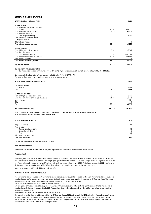#### NOTES TO THE INCOME STATEMENT

| NOTE 3. Net interest income, TEUR         | 2021      | 2020           |
|-------------------------------------------|-----------|----------------|
| Interest income                           |           |                |
| From receivables from credit institutions |           |                |
| Interest                                  | $-47997$  | $-19777$       |
| From receivables from customers           | 18 4 20   | 39 570         |
| From derivative contracts                 |           |                |
| From hedge accounting                     | 2 801     | $-5443$        |
| From liabilities to credit institutions   |           |                |
| Negative interest                         | 699       |                |
| Other interest income                     |           | $\overline{7}$ |
| Total interest income (expense)           | $-26076$  | 14 3 5 7       |
| Interest expenses                         |           |                |
| From liabilities to credit institutions   | $-3599$   | $-2702$        |
| From derivative contracts                 |           |                |
| From hedge accounting                     | 197 882   | $-246300$      |
| From debt securities issued to the public | $-262435$ | 214 888        |
| Other interest expenses                   | C         | 0              |
| Total interest expenses (income)          | $-68$ 151 | $-34$ 113      |
| Net interest income                       | 42 075    | 48 470         |

#### Net income from hedge accounting

Net income from hedging instruments is TEUR -299,659 (140,218) and net income from hedged items is TEUR 299,659 (-140,218).

Net income calculated using the effective interest method totalled TEUR -29,577 (19,793) The negative figures shown in the table are negative interest income/expenses.

| NOTE 4. Net commissions and fees. TEUR                                                                                                                                           | 2021        | 2020        |
|----------------------------------------------------------------------------------------------------------------------------------------------------------------------------------|-------------|-------------|
| <b>Commission income</b>                                                                                                                                                         |             |             |
| From lending                                                                                                                                                                     | 3 4 3 5     | 3 9 4 6     |
| Total                                                                                                                                                                            | 3 4 3 5     | 3 9 4 6     |
| <b>Commission expenses</b>                                                                                                                                                       |             |             |
| From lending to OP cooperative banks                                                                                                                                             | 3 2 8 3     | 3777        |
| Loan management fee to OP cooperative banks                                                                                                                                      | 25 860      | 32 418      |
| Issue of bonds                                                                                                                                                                   | 87          | 154         |
| Other                                                                                                                                                                            | 8           | 7           |
| Total                                                                                                                                                                            | 29 238      | 36 357      |
| Net commissions and fees                                                                                                                                                         | $-25804$    | $-32411$    |
| OP MB refunded OP cooperative banks the amount of the returns of loans managed by OP MB agreed in the fee model.<br>As a result of this, net commissions and fees were negative. |             |             |
| NOTE 5. Personnel costs, TEUR                                                                                                                                                    | 2021        | 2020        |
| Wages and salaries                                                                                                                                                               | 408         | 398         |
| Pension costs                                                                                                                                                                    |             |             |
| Defined contribution plans                                                                                                                                                       | 66          | 61          |
| Defined benefit plans                                                                                                                                                            | $\mathbf 0$ | $\mathbf 0$ |
| Total                                                                                                                                                                            | 66          | 60          |
| Other indirect personnel costs                                                                                                                                                   | 13          | 9           |
| Total personnel costs                                                                                                                                                            | 487         | 467         |

The average number of employees was seven (7) in 2021.

#### Remuneration schemes

OP Financial Group's variable remuneration comprises a performance-based bonus scheme and the personnel fund.

#### Personnel fund

OP Mortgage Bank belongs to OP Financial Group Personnel Fund. Payment of profit-based bonuses to OP Financial Group's Personnel Fund in 2021 was based on the achievement of the following targets: growth differential between OP Financial Group's income and expenses with a weight of 50% and net growth in customers using OP as their main bank and insurer with a weight of 50%. Profit-based bonuses for 2021 transferred to the Personnel Fund account for some 3.0% (2.0%) of the combined salaries and wages earned by the Fund's members.

Bonuses recognised in 2021 totalled 11 thousand euros (7).

#### Performance-based bonus scheme in 2021

Performance metrics of the performance-based bonus scheme in 2021: The performance-based bonus scheme's performance period is one calendar year, and the bonus is paid in cash. Performance-based bonuses are based on targets set for each company, team and person derived from the annual plan, covering all personnel of OP Financial Group. The bonus is determined by the job grade and the maximum bonuses correspond a 1–12-month annual salary.

A factor applies to the bonus created through the achievement of the targets achieved in the central cooperative consolidated companies that is based on the central cooperative consolidated's EBT. Targets shown in the balanced scorecards and derived from annual planning are decided by the business lines/functions.

Determination and payout of performance-based bonuses in 2021:

Bonuses will be paid to their beneficiaries provided that OP Financial Group's CET1 ratio exceeds the CET1 ratio which, if exceeded, no restrictions on profit distribution occur +2% and the LCR exceeds 110% in the financial statements preceding the year of the bonus payout date. Another condition is that the person is in the employ of OP Financial Group until the payout date and an OP Financial Group company or the customer business shows profit shows a profit on the bonus payout date.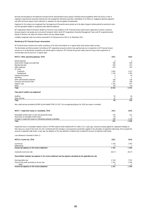Bonuses earned based on the balanced scorecard will be reduced before bonus payout if binding internal guidelines within the Group or task or regulatory requirements have been ignored and risk management elements have been materialised. If an offence or negligence becomes apparent only after the bonus payout, bonus reduction or clawback can also be applied retrospectively.

Expenses for the scheme are recognised from the beginning of the performance period up to the date of payout (vesting period) as personnel costs, and the equivalent liability is recognised under deferred expenses.

OP Cooperative's Board of Directors decides on the terms and conditions of OP Financial Group's performance-based bonus scheme, maximum bonuses based on job grades and a structural framework within which OP Cooperative's Executive Management Team and OP cooperative banks' boards of directors can select the scheme metrics and set related targets.

A liability recognised under the scheme amounted to 43 thousand euros (18) on 31 December 2021.

#### Monitoring of OP Financial Group's remuneration

The Nomination and Remuneration Committee of OP Cooperative annually monitors how paid bonuses are in proportion to OP Financial Group's success vis-à-vis benchmark companies and refunds paid to customers. OP Financial Group also makes internal, Group-level comparisons of remuneration and structures on a regular basis. OP Financial Group monitors the market consistency of its total remuneration on a regular basis using various salary surveys.

#### NOTE 6. Other operating expenses, TEUR 2020 2021 2020 2021 2020 2021 2020 2021 2020 2021

| Rental expenses                   | 6       | 4       |
|-----------------------------------|---------|---------|
| Government charges and audit fees | 596     | 560     |
| Membership fees                   | 584     | 414     |
| Office expenses                   | 813     | 192     |
| ICT costs                         |         |         |
| Production                        | 3 6 0 5 | 2 3 2 7 |
| Development                       | 1 2 2 0 | 1 3 9 3 |
| Telecommunications                |         | 24      |
| Marketing                         |         |         |
| Other administrative expenses     | 156     | 118     |
| Insurance and security costs      | 247     | 169     |
| Experts' costs                    | 301     | 677     |
| Other                             | 60      | 93      |
| Total                             | 8591    | 5972    |

#### Fees paid to auditors by assignment

| Auditing       | ပပ          | 40  |
|----------------|-------------|-----|
| Other services | $\sim$<br>◡ | 64  |
| Total          | o-<br>ິ     | 105 |

Non-audit services provided by KPMG Oy Ab totalled TEUR 32 (63). The corresponding figures for 2020 are shown in brackets.

| NOTE 7. Impairment losses on receivables. TEUR                     | 2021  | 2020  |
|--------------------------------------------------------------------|-------|-------|
| Receivables written down as loan and guarantee losses              | 143   | 121   |
| Recoveries of receivables written down                             | $-18$ | $-3$  |
| Increase in impairment losses on individually assessed receivables | 366   | 1528  |
| Total                                                              | 491   | 1 646 |

Impairment loss on receivables related to loans in OP MB's balance sheet totalled EUR 0.5 million (1.6). A year ago, customers actively applied for repayment holidays on their loans as a result of the Covid-19 crisis. Combined with the changes in macroeconomic parameters applied in the calculation of expected credit losses, this increased the amount of expected credit losses. A year ago, the adoption of the new definition of default also increased the amount of expected credit losses.

Loss allowance is itemised in Note 11.

| NOTE 8. Income tax, TEUR                                                                                         | 2021    | 2020   |
|------------------------------------------------------------------------------------------------------------------|---------|--------|
| Current tax                                                                                                      | 1 3 3 4 | 1587   |
| Deferred tax                                                                                                     | 6       |        |
| Income tax expense on the income statement                                                                       | 1341    | 1594   |
| Corporate income tax rate                                                                                        | 20.0 %  | 20.0 % |
| Reconciliation between tax expense in the income statement and tax expense calculated by the applicable tax rate |         |        |
| Earnings before tax                                                                                              | 6 704   | 7975   |
| Share of the profit according to the tax rate                                                                    | 1 341   | 1595   |
| Other                                                                                                            |         | - 1    |
| Income tax expense on the income statement                                                                       | 1341    | 1594   |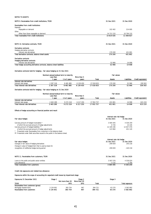| <b>NOTES TO ASSETS</b>                                                 |             |             |
|------------------------------------------------------------------------|-------------|-------------|
| NOTE 9. Receivables from credit institutions. TEUR                     | 31 Dec 2021 | 31 Dec 2020 |
| Receivables from credit institutions                                   |             |             |
| Deposits                                                               |             |             |
| Repayable on demand                                                    | 102 402     | 214 695     |
| Other                                                                  |             |             |
| Other than those repayable on demand                                   | 14 712 233  | 10 794 132  |
| Total receivables from credit institutions                             | 14 814 635  | 11 008 827  |
| NOTE 10. Derivative contracts, TEUR                                    | 31 Dec 2021 | 31 Dec 2020 |
| Derivative contracts                                                   |             |             |
| Hedging derivative contracts                                           |             |             |
| Interest rate derivatives                                              | 170 200     | 431 801     |
| Total derivative contracts, balance sheet assets                       | 170 200     | 431 801     |
| <b>Derivative contracts</b>                                            |             |             |
| <b>Hedging derivative contracts</b>                                    |             |             |
| Interest rate derivatives                                              | 52 966      | 14 908      |
| Total hedge accounting derivative contracts, balance sheet liabilities | 52 966      | 14 908      |

#### Derivative contracts held for hedging – fair value hedging on 31 Dec 2021

|                                 | Nominal values/residual term to maturity<br>Less than |               | More than 5 |            | <b>Fair values</b> |             |                   |  |
|---------------------------------|-------------------------------------------------------|---------------|-------------|------------|--------------------|-------------|-------------------|--|
|                                 | year                                                  | I to 5 vears  | vears       | Total      | Assets             | Liabilities | Credit equivalent |  |
| Interest rate derivatives       |                                                       |               |             |            |                    |             |                   |  |
| Interest rate swaps             | 2 397 318                                             | 8 481 885     | 6 139 450   | 17 018 653 | 170 200            | 52 966      | 339 563           |  |
| Total interest rate derivatives | 2 397 318                                             | 8 4 8 1 8 8 5 | 6 139 450   | 17 018 653 | 170 200            | 52 966      | 339 563           |  |

#### Derivative contracts held for hedging – fair value hedging on 31 Dec 2020

|                                 | Nominal values/residual term to maturity |              |             |            |               |             |                   |
|---------------------------------|------------------------------------------|--------------|-------------|------------|---------------|-------------|-------------------|
|                                 | Less than                                |              | More than 5 |            |               |             |                   |
|                                 | vear                                     | 1 to 5 vears | vears       | Total      | <b>Assets</b> | Liabilities | Credit equivalent |
| Interest rate derivatives       |                                          |              |             |            |               |             |                   |
| Interest rate swaps             | 2463289                                  | 9 272 218    | 6 217 250   | 17 952 757 | 431 801       | 14 908      | 615 219           |
| Total interest rate derivatives | 2 463 289                                | 9 272 218    | 6 217 250   | 17 952 757 | 431801        | 14 908      | 615 219           |

#### Effects of hedge accounting on financial position and result

|                                                                               | Interest rate risk hedge |             |  |  |
|-------------------------------------------------------------------------------|--------------------------|-------------|--|--|
| Fair value hedges                                                             | 31 Dec 2021              | 31 Dec 2020 |  |  |
| Carrying amount of hedged receivables *                                       | 3 584 445                | 4 536 259   |  |  |
| of which the accrued amount of hedge adjustments                              | 6726                     | 14 226      |  |  |
| Carrying amount of hedged liabilities **                                      | 12 109 246               | 12 657 476  |  |  |
| of which the accrued amount of hedge adjustments                              | 123 960                  | 431 120     |  |  |
| * Presented under Receivables from customers in the balance sheet.            |                          |             |  |  |
| ** Presented under Debt securities issued to the public in the balance sheet. |                          |             |  |  |
|                                                                               | Interest rate risk hedge |             |  |  |
| Fair value hedges                                                             | 31 Dec 2021              | 31 Dec 2020 |  |  |
| Changes in fair value of hadeing decivatives                                  | 200 LEO                  | 140.010     |  |  |

| Changes in fair value of hedging derivatives             | $-299659$     | 140 218     |
|----------------------------------------------------------|---------------|-------------|
| Change in value of hedged item that is used as basis for |               |             |
| recognition of ineffective hedge during period           | 299 659       | $-140218$   |
|                                                          |               |             |
|                                                          |               |             |
| NOTE 11. Receivables from customers. TEUR                | 31 Dec 2021   | 31 Dec 2020 |
| Loans to the public and public sector entities           | 3587576       | 4 539 024   |
| Loss allowance                                           | $-3132$       | -2 766      |
| Total receivables from customers                         | 3 5 8 4 4 4 5 | 4536259     |

#### Credit risk exposures and related loss allowance

#### Exposures within the scope of accounting for expected credit losses by impairment stage

| Exposures 31 December 2021         | Stage 1   |                  | Stage 2      |         | Stage 3 |                       |
|------------------------------------|-----------|------------------|--------------|---------|---------|-----------------------|
|                                    |           | Not more than 30 | More than 30 |         |         |                       |
| <b>TEUR</b>                        |           | DPD              | DPD          | Total   |         | <b>Total exposure</b> |
| Receivables from customers (gross) |           |                  |              |         |         |                       |
| Mortgage-backed loans              | 3 134 901 | 383 754          | 967          | 384 721 | 63 270  | 3 582 892             |
| Receivables from customers         | 3 134 901 | 383 754          | 967          | 384 721 | 63 270  | 3 582 892             |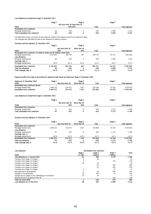#### Loss allowance by impairment stage 31 December 2021

|                                  | Stage 1 |                               | Stage 2 |        | Stage 3 |                |
|----------------------------------|---------|-------------------------------|---------|--------|---------|----------------|
|                                  |         | Not more than 30 More than 30 |         |        |         |                |
| <b>TEUR</b>                      |         | DPD DPD                       |         | Total  |         | Total exposure |
| Receivables from customers       |         |                               |         |        |         |                |
| Mortgage-backed loans            | $-60$   | $-259$                        | -5      | $-263$ | $-2809$ | $-3132$        |
| Total receivables from customers | -60     | $-259$                        | -5      | $-263$ | $-2809$ | $-3132$        |

The table below shows a summary of loss allowance relative to the exposure amount by impairment stage.

The coverage ratio describes the ratio of loss allowance to exposure amount.

# Summary and key indicators 31 December 2021

| Summary and key mulcators 31 December 2021                               |            |                  |              |         |         |                |
|--------------------------------------------------------------------------|------------|------------------|--------------|---------|---------|----------------|
|                                                                          | Stage 1    |                  | Stage 2      |         | Stage 3 |                |
|                                                                          |            | Not more than 30 | More than 30 |         |         |                |
| <b>TEUR</b>                                                              | <b>DPD</b> |                  | <b>DPD</b>   | Total   |         | Total exposure |
| Receivables from customers: on-balance-sheet and off-balance-sheet items |            |                  |              |         |         |                |
| Mortgage-backed loans                                                    | 3 134 901  | 383 754          | 967          | 384 721 | 63 270  | 3 582 892      |
| Loss allowance                                                           |            |                  |              |         |         |                |
| Mortgage-backed loans                                                    | $-60$      | $-259$           | -5           | $-263$  | $-2809$ | $-3132$        |
| Coverage ratio, %                                                        |            |                  |              |         |         |                |
| Mortgage-backed loans                                                    | 0.0%       | $-0.1%$          | $-0.5%$      | $-0.1%$ | $-4.4%$ | $-0.1%$        |
| Receivables from customers                                               | 3 134 901  | 383 754          | 967          | 384 721 | 63 270  | 3 5 8 2 8 9 2  |
| <b>Total loss allowance</b>                                              | -60        | $-259$           | -5           | $-263$  | $-2809$ | $-3132$        |
| Total coverage ratio, %                                                  | 0,0 %      | $-0.1$ %         | $-0.50$      | $-0.10$ | -4,4 %  | $-0.1%$        |

Exposures within the scope of accounting for expected credit losses by impairment stage 31 December 2020

| Exposures 31 December 2020         | Stage     |                  | Stage 2      |         | Stage 3 |                |
|------------------------------------|-----------|------------------|--------------|---------|---------|----------------|
| <b>TEUR</b>                        |           | Not more than 30 | More than 30 | Total   |         | Total exposure |
| Receivables from customers (gross) |           |                  |              |         |         |                |
| Mortgage-backed loans              | 3 948 515 | 524 072          | 937          | 526 009 | 54 528  | 4 529 052      |
| Receivables from customers         | 3948515   | 524 072          | -937         | 526 009 | 54 528  | 4529052        |

#### Loss allowance by impairment stage 31 December 2020

|                                  | Stage 1 |                  | Stage 2      |        | Stage 3 |                |
|----------------------------------|---------|------------------|--------------|--------|---------|----------------|
|                                  |         | Not more than 30 | More than 30 |        |         |                |
| <b>TEUR</b>                      |         | DPD              | DPD          | Total  |         | Total exposure |
| Receivables from customers       |         |                  |              |        |         |                |
| Mortgage-backed loans            | $-61$   | $-423$           | -6           | $-430$ | $-2275$ | $-2766$        |
| Total receivables from customers | -61     | $-423$           | -6           | -430   | $-2275$ | $-2766$        |

#### Summary and key indicators 31 December 2020

|                             | Stage 1   |                  | Stage 2      |          | Stage 3 |                |
|-----------------------------|-----------|------------------|--------------|----------|---------|----------------|
| <b>TEUR</b>                 |           | Not more than 30 | More than 30 | Total    |         | Total exposure |
| Receivables from customers  |           |                  |              |          |         |                |
| Mortgage-backed loans       | 3 948 515 | 524 072          | 1937         | 526 009  | 54 528  | 4 529 052      |
| Loss allowance              |           |                  |              |          |         |                |
| Mortgage-backed loans       | $-61$     | $-423$           | -6           | $-430$   | $-2275$ | $-2766$        |
| Coverage ratio, %           |           |                  |              |          |         |                |
| Mortgage-backed loans       | 0.0%      | $-0.1%$          | $-0.3%$      | $-0.1%$  | $-4.2%$ | $-0.1%$        |
| Receivables from customers  | 3 948 515 | 524 072          | 1937         | 526 009  | 54 528  | 4 529 052      |
| <b>Total loss allowance</b> | -61       | $-423$           | -6           | -430     | $-2275$ | $-2766$        |
| Total coverage ratio, %     | 0.0%      | $-0.1$ %         | $-0.3$ %     | $-0.1$ % | $-4.2%$ | $-0.1$ %       |

| Loss allowance                                          | Receivables from customers |          |          |         |
|---------------------------------------------------------|----------------------------|----------|----------|---------|
|                                                         | Stage 1                    | Stage 2  | Stage 3  | Total   |
| <b>TEUR</b>                                             | 12 mths                    | Lifetime | Lifetime |         |
| Loss allowance on 1 January 2021                        | 61                         | 430      | 2 2 7 5  | 2766    |
| Transfers from Stage 1 to Stage 2                       | $-3$                       | 66       |          | 63      |
| Transfers from Stage 1 to Stage 3                       | 0                          |          | 178      | 178     |
| Transfers from Stage 2 to Stage 1                       | 16                         | $-26$    |          | $-10$   |
| Transfers from Stage 2 to Stage 3                       |                            | $-45$    | 909      | 865     |
| Transfers from Stage 3 to Stage 2                       |                            | 24       | $-201$   | $-178$  |
| Transfers from Stage 3 to Stage 1                       | $\Omega$                   |          | $-17$    | $-17$   |
| Decreases due to derecognition                          | - 1                        | $-19$    | $-203$   | $-224$  |
| Changes in risk parameters                              | $-32$                      | $-200$   | 18       | $-214$  |
| Changes due to update in the methodology for estimation | 19                         | 34       |          | 53      |
| Allowances due to recognised write-off                  |                            |          | $-150$   | $-150$  |
| Total net result effect                                 | -1                         | $-166$   | 534      | 366     |
| Loss allowance on 31 Dec 2021                           | 60                         | 263      | 2809     | 3 1 3 2 |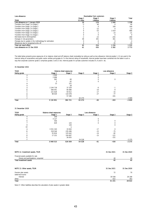| Loss allowance                                          | Receivables from customers |                     |                     |          |
|---------------------------------------------------------|----------------------------|---------------------|---------------------|----------|
| <b>TEUR</b>                                             | Stage 1<br>12 mths         | Stage 2<br>Lifetime | Stage 3<br>Lifetime | Total    |
| Loss allowance on 1 January 2020                        | 16                         | 176                 | 1046                | 1 238    |
| Transfers from Stage 1 to Stage 2                       | -3                         | 46                  |                     | 44       |
| Transfers from Stage 1 to Stage 3                       |                            |                     | 169                 | 169      |
| Transfers from Stage 2 to Stage 1                       |                            | $-15$               |                     | $-13$    |
| Transfers from Stage 2 to Stage 3                       |                            | $-53$               | 1019                | 966      |
| Transfers from Stage 3 to Stage 2                       |                            |                     | $-23$               | $-21$    |
| Transfers from Stage 3 to Stage 1                       |                            |                     |                     | $\Omega$ |
| Decreases due to derecognition                          |                            | $-23$               | $-255$              | $-280$   |
| Changes in risk parameters                              | 48                         | 301                 | 361                 | 710      |
| Changes due to update in the methodology for estimation |                            | $-4$                |                     | $-4$     |
| Allowances due to recognised write-off                  |                            |                     | $-35$               | $-35$    |
| Total net result effect                                 | 45                         | 254                 | 1 236               | 1535     |
| Loss allowance on 31 Dec 2020                           | 61                         | 430                 | 2 2 8 2             | 2 7 7 3  |

The table below presents gross exposures of on-balance-sheet and off-balance-sheet receivables by rating as well as loss allowance. Internal grades 1–12 are used in the internal rating of corporations and public-sector entities and grades A–F in the internal rating of households. Internal grades have been combined into the table in such a way that corporate customer grade 2 comprises grades 2 and 2.5 etc. Internal grade A in private customers includes A+, A and A- etc.

#### 31 December 2021

| <b>TEUR</b>           |           | <b>Balance sheet exposures</b> |         |         | Loss allowance           |         |
|-----------------------|-----------|--------------------------------|---------|---------|--------------------------|---------|
| Rating grade          | Stage 1   | Stage 2                        | Stage 3 | Stage 1 | Stage 2                  | Stage 3 |
|                       | 1 0 0 9   |                                |         |         |                          |         |
|                       | 2898      |                                |         |         |                          |         |
|                       | 562       | 60                             |         |         | 0                        |         |
|                       |           | 62                             |         |         |                          |         |
| 8                     | 13        | 151                            |         |         |                          |         |
|                       |           | 58                             |         |         |                          |         |
| $\mathbf{\mathsf{m}}$ | 2 244 718 | 37 329                         |         | -6      | $\overline{\phantom{0}}$ |         |
| B                     | 566 041   | 85 686                         |         | $-10$   | $-9$                     |         |
|                       | 221 628   | 93 612                         |         | $-17$   | $-15$                    |         |
|                       | 98 0 29   | 110 478                        |         | $-27$   | $-77$                    |         |
|                       |           | 57 286                         |         |         | $-161$                   |         |
|                       |           |                                | 63 270  |         |                          | $-2809$ |
| Total                 | 3 134 901 | 384 721                        | 63 270  | -60     | $-263$                   | $-2809$ |

#### 31 December 2020

| <b>TEUR</b>  | <b>Balance sheet exposures</b> |         |         | Loss allowance |          |         |
|--------------|--------------------------------|---------|---------|----------------|----------|---------|
| Rating grade | Stage 1                        | Stage 2 | Stage 3 | Stage 1        | Stage 2  | Stage 3 |
|              | 258                            |         |         |                |          |         |
|              | 4 1 2 7                        |         |         | $\Omega$       |          |         |
|              | 556                            |         |         |                | $\Omega$ |         |
|              | 629                            | 125     |         | 0              |          |         |
|              |                                | 126     |         |                | 0        |         |
| 10           |                                | b       |         |                |          |         |
| Α            | 3 5 5 1 3 4 3                  | 33 063  |         | $-17$          | $\Omega$ |         |
| B            | 318 546                        | 235 496 |         | $-15$          | $-75$    |         |
|              | 55 834                         | 125 642 |         | $-14$          | $-82$    |         |
|              | 17 222                         | 104 897 |         | $-15$          | $-121$   |         |
|              |                                | 26 655  |         |                | $-151$   |         |
|              |                                |         | 54 528  |                |          | $-2275$ |
| <b>Total</b> | 3 948 515                      | 526 009 | 54 528  | $-61$          | $-430$   | $-2275$ |

| NOTE 12. Investment assets. TEUR       | 31 Dec 2021 | 31 Dec 2020 |
|----------------------------------------|-------------|-------------|
| Financial assets available for sale    |             |             |
| Shares and participations, unquoted    | 40          | 40          |
| <b>Total investment assets</b>         | 40          | 40          |
| NOTE 13. Other assets, TEUR            | 31 Dec 2021 | 31 Dec 2020 |
| Pension plan assets<br>Deferred income | 72          | 70          |
| Interest                               | 30 548      | 28 189      |
| Other                                  | 622         | 363         |
| Total                                  | 31 241      | 28 6 22     |

Note 17. Other liabilities describes the calculation of plan assets in greater detail.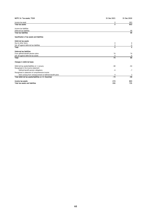| NOTE 14. Tax assets, TEUR                                 | 31 Dec 2021     | 31 Dec 2020 |
|-----------------------------------------------------------|-----------------|-------------|
| Income tax asset                                          | 0               | 803         |
| <b>Total tax assets</b>                                   | $\mathbf 0$     | 803         |
| Income tax liabilities                                    |                 |             |
| Deferred tax liabilities                                  |                 | 68          |
| <b>Total tax liabilities</b>                              |                 | 68          |
| Specification of tax assets and liabilities               |                 |             |
| Deferred tax assets                                       |                 |             |
| Due to other items                                        | 0               | 6           |
| Set-off against deferred tax liabilities                  | 0               | $-6$        |
| Total                                                     | 0               | $\mathbf 0$ |
| Deferred tax liabilities                                  |                 |             |
| From defined benefit pension plans                        | 74              | 74          |
| Set-off against deferred tax assets                       | 0               | $-6$        |
| Total                                                     | $\overline{74}$ | 68          |
| Changes in deferred taxes                                 |                 |             |
| Deferred tax assets/liabilities on 1 January              | $-68$           | $-64$       |
| Recognised in the income statement                        |                 |             |
| Defined benefit pension obligations                       | -6              | $-7$        |
| Recognised in statement of comprehensive income           |                 |             |
| Items arising from remeasurement of defined benefit plans | 0               | 3           |
| Total deferred tax assets/liabilities on 31 December      | $-74$           | $-68$       |
| Income tax assets                                         | 274             | 803         |
| <b>Total tax assets and liabilities</b>                   | 200             | 735         |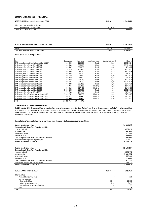#### NOTES TO LIABILITIES AND EQUITY CAPITAL

| NOTE 15. Liabilities to credit institutions. TEUR | 31 Dec 2021 | 31 Dec 2020 |
|---------------------------------------------------|-------------|-------------|
| Other than those repayable on demand              |             |             |
| Liabilities to OP Corporate Bank                  | 1 570 000   | 500 000     |
| Liabilities to credit institutions                | 1570000     | 1500000     |
|                                                   |             |             |

| NOTE 16. Debt securities issued to the public, TEUR | 31 Dec 2021 | 31 Dec 2020 |
|-----------------------------------------------------|-------------|-------------|
| Bonds                                               | 16 579 276  | 14 095 017  |
| Total debt securities issued to the public          | 16 579 276  | 14 095 017  |

#### Bonds issued by OP Mortgage Bank

| Bond                                            | Book value    | Fair value | Interest rate base | Nominal interest % | Maturity   |
|-------------------------------------------------|---------------|------------|--------------------|--------------------|------------|
| OP Mortage Bank rekisterölty Covered Bond (NSV) | 114 905       | 115 000    | Fixed              | 2.157              | 12.11.2024 |
| OP Mortgage Bank Covered Bond 2014              | 998 680       | 1036280    | Fixes              | 1,000              | 28.11.2024 |
| OP Mortgage Bank Covered Bond 2015              | 999 507       | 1 008 290  | Fixed              | 0,625              | 4.9.2022   |
| OP Mortgage Bank Covered Bond 2016              | 1 248 723     | 1 262 663  | Fixed              | 0,250              | 11.5.2023  |
| OP Mortgage Bank Covered Bond 2017              | 997 549       | 1 013 190  | Fixed              | 0,250              | 13.3.2024  |
| OP Mortgage Bank Covered Bond 2017              | 996 885       | 1 042 240  | Fixed              | 0.750              | 7.6.2027   |
| OP Mortgage Bank Covered Bond 2017              | 999 139       | 1 006 590  | Fixed              | 0,050              | 22.2.2023  |
| OP Mortgage Bank Covered Bond 2018              | 997 649       | 1028570    | Fixed              | 0,625              | 1.9.2025   |
| OP Mortgage Bank Covered Bond 2019              | 1 238 373     | 1 298 763  | Fixed              | 0,625              | 15.2.2029  |
| OP Mortgage Bank Covered Bond 2019              | 1 000 021     | 1 003 390  | Fixed              | 0.010              | 19.11.2026 |
| OP Mortgage Bank Covered Bond 2020              | 995 080       | 1 001 990  | Fixed              | 0.050              | 21.4.2028  |
| OP Mortgage Bank Covered Bond 2020              | 500 745       | 501 095    | Floating           | 0,249              | 18.4.2022  |
| OP Mortgage Bank Covered Bond 2020              | 309 515       | 317 400    | Floating           | 0,402              | 21.4.2028  |
| OP Mortgage Bank Covered Bond 2020              | 1 268 686     | 1 229 863  | Fixed              | 0,010              | 19.11.2030 |
| OP Mortgage Bank Covered Bond 2021              | 746 788       | 737 490    | Fixed              | 0,050              | 25.3.2031  |
| OP Mortgage Bank Retained Covered Bond 2021     | 1014252       | 1 013 330  | Floating           | 0,436              | 24.5.2023  |
| OP Mortgage Bank Retained Covered Bond 2021     | 1 0 1 4 3 7 1 | 1 013 440  | Floating           | 0,425              | 29.5.2023  |
| OP Mortgage Bank Retained Covered Bond 2021     | 1014 448      | 1 013 460  | Floating           | 0,428              | 31.5.2023  |
| Total                                           | 16 455 316    | 16 643 043 |                    |                    |            |

#### Collateralisation of bonds issued to the public

On 31 December 2021, loans as collateral in security of the covered bonds issued under the Euro Medium Term Covered Note programme worth EUR 20 billion established on 12 November 2010 under the Act on Mortgage Credit Banks (Laki kiinnitysluottopankkitoiminnasta 688/2010) totalled EUR 15,841 million. On the same date, loans as collateral in security of the covered bonds issued under the Euro Medium Term Retained Covered Note programme worth EUR 10 billion established on 15 June 2020 totalled EUR 3,587 million.

#### Reconciliation of changes in liabilities in cash flows from financing activities against balance sheet items

| Balance sheet value 1 Jan. 2021                                       |             | 14 095 017  |
|-----------------------------------------------------------------------|-------------|-------------|
| Changes in cash flows from financing activities<br>Increases in bonds |             | 3 807 890   |
| Increases total                                                       |             | 3807890     |
|                                                                       |             |             |
| Decreases in bonds                                                    |             | 1 000 000   |
| Decreases total                                                       |             | 1 000 000   |
| Total changes in cash flows from financing activities                 |             | 2807890     |
| Valuations and foreign exchange changes                               |             | $-323631$   |
| Balance sheet value 31 Dec 2021                                       |             | 16 579 276  |
| Balance sheet value 1 Jan. 2020                                       |             | 12 135 974  |
| Changes in cash flows from financing activities                       |             |             |
| Increases in bonds                                                    |             | 3 081 772   |
| Increases total                                                       |             | 3 081 772   |
| Decreases in bonds                                                    |             | 1 270 000   |
| Decreases total                                                       |             | 1 270 000   |
| Total changes in cash flows from financing activities                 |             | 1811772     |
| Valuations and foreign exchange changes                               |             | 147 271     |
| Balance sheet value 31 Dec 2020                                       |             | 13 800 475  |
| NOTE 17. Other liabilities. TEUR                                      | 31 Dec 2021 | 31 Dec 2020 |
| Other liabilities                                                     |             |             |
| Payment transfer liabilities                                          | 98          | 110         |
| Accrued expenses                                                      |             |             |
| Interest liabilities                                                  | 25 059      | 22 088      |
| Other accrued expenses                                                | 2 6 0 5     | 2895        |
| Payables based on purchase invoices                                   | 391         | 159         |
| Other                                                                 | 14          | 14          |
| Total                                                                 | 28 167      | 25 26 7     |

45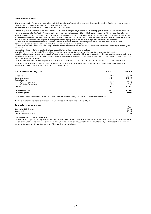#### Defined benefit pension plans

Schemes related to OP MB's supplementary pensions in OP Bank Group Pension Foundation have been treated as defined benefit plans. Supplementary pension schemes supplement statutory pension cover under the Employees Pensions Act (TyEL). Supplementary pension cover provided by the Pension Foundation is fully funded.

OP Bank Group Pension Foundation covers every employee who has reached the age of 20 years and who has been employed, as specified by TyEL, for two consecutive years by an employer within the Pension Foundation and whose employment has begun before 1 July 1991. The emplyment term entitling to pension begins from the day the employee turned 23 years in the emplyment of the employer. The salary/wage serving as the basis for calculation of pension refers to pernsionable pay based on one and the same employment and calculated under the Finnish Employees Pensions Act (TEL), in force until 31 December 2006. The retirement age of those covered by the Pension Foundation varies from 60 to 65 years, depending on the personnel group to which the employee belongs under the Pension Foundation rules. The most significant associated risk relates to the possibility of the actual return on investment assets being lower than the target set for the minimum return.

If such a risk materialised in several consecutive years, this would result in the charging of contributions.

The most significant actuarial risks of OP Bank Group Pension Foundation are associated with interest rate and market risks, systematically increasing life expectancy and inflation risk.

A change in the discount rate for pension liabilities has a substantial effect on the amount of pension liabilities.

Responsible for investment, the Board of Trustees of the Pension Foundation approves the pension institution's investment plan related to its assets.

A pension institution's chief actuary prepares annually a forecast for developments in technical provisions and pension costs. On this basis, investment asset allocation takes account of the requirements set by the nature of technical provisions for investment operations with respect to the level of security, productivity an liquidity, as well as the Pension Fund's risk-bearing capacity.

The amount of defined benefit pension obligations was 88 thousand euros (123), the fair value of pension assets 160 thousand euros (192) and net pension assets 72 Defined benefit pension costs recognised in the income statement totalled 0 thousand euros (0), and gains recognised in other comprehensive income arising from remeasurement totalled 2 thousand euros (2020: gains of 17 thousand euros).

| NOTE 18. Shareholders' equity, TEUR | 31 Dec 2021 | 31 Dec 2020 |
|-------------------------------------|-------------|-------------|
| Share capital                       | 60 000      | 60 000      |
| Unrestricted reserves               | 245 000     | 245 000     |
| Retained earnings                   |             |             |
| Profits for previous years          | 59 713      | 59 712      |
| Profit for the financial year       | 5 3 6 4     | 6 3 8 1     |
| <b>Total equity</b>                 | 370 077     | 371 093     |
| <b>Distributable reserves</b>       | 310 077     | 311 093     |
| Distributable profits               | 65 077      | 66 093      |

The Board of Directors proposes that a dividend of 70.02 euros be distributed per share (83.31), totalling 5,363 thousand euros (6,381).

Reserve for invested non-restricted equity consists of OP Cooperative's capital investment of EUR 245,000,000.

#### Share capital and number of shares

| Share capital and number of shares |        |
|------------------------------------|--------|
|                                    | Total  |
| Share capital, EUR thousand        | 60 000 |
| Number of shares                   | 76 592 |
| Proportion of share capital, %     | 100    |
|                                    |        |

OP Cooperative holds 100% of OP Mortgage Bank.

The minimum share capital of the Company is EUR 8,500,000 and the maximum share capital is EUR 150,000,000, within which limits the share capital may be increased or reduced without altering the Articles of Association. The minimum number of shares is 34,000 and the maximum number is 136,000. Permission from the Company is required for the acquisition of shares through transfer. The shares have no nominal value.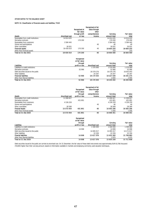#### OTHER NOTES TO THE BALANCE SHEET

#### NOTE 19. Classification of financial assets and liabilities, TEUR

|                                      |                |                | Recognised at fair |              |            |
|--------------------------------------|----------------|----------------|--------------------|--------------|------------|
|                                      |                | Recognised at  | value through      |              |            |
|                                      |                | fair value     | other              |              |            |
|                                      |                | through profit | comprehensive      | Carrying     | Fair value |
| <b>Assets</b>                        | Amortised cost | or loss        | Income             | amount total | total      |
| Receivables from credit institutions | 14 814 635     |                |                    | 14 814 635   | 14 814 635 |
| Derivative contracts                 |                | 170 200        |                    | 170 200      | 170 200    |
| Receivables from customers           | 3 5 8 4 4 4 5  |                |                    | 3 584 445    | 3 584 445  |
| Shares and participations            |                |                | 40                 | 40           | 40         |
| Other receivables                    | 30 931         |                |                    | 30 931       | 30 931     |
| <b>Financial assets</b>              | 18 430 010     | 170 200        | 40                 | 18 600 250   | 18 600 250 |
| Other than Financial assets          |                |                |                    | 310          | 310        |
| Total on 31 Dec 2021                 | 18 430 010     | 170 200        | 40                 | 18 600 560   | 18 600 560 |

|                                      | Recognised<br>at fair value |                       |              |            |
|--------------------------------------|-----------------------------|-----------------------|--------------|------------|
|                                      | through                     |                       | Carrying     | Fair value |
| Liabilities                          | profit or loss              | <b>Amortised cost</b> | amount total | total      |
| Liabilities to credit institutions   |                             | 1 570 000             | 570 000      | 570 000    |
| Derivative contracts                 | 52 966                      |                       | 52 966       | 52 966     |
| Debt securities issued to the public |                             | 16 579 276            | 16 579 276   | 16 643 043 |
| Other liabilities                    |                             | 25 267                | 25 267       | 25 267     |
| <b>Financial liabilities</b>         | 52 966                      | 18 174 543            | 18 227 509   | 18 291 275 |
| Other than filancial liabilities     |                             |                       | 2694         | 2694       |
| Total on 31 Dec 2021                 | 52 966                      | 18 174 543            | 18 230 202   | 18 293 969 |

|                                      |                |                | Recognised at fair |              |            |
|--------------------------------------|----------------|----------------|--------------------|--------------|------------|
|                                      |                | Recognised     | value through      |              |            |
|                                      |                | at fair value  | other              |              |            |
|                                      |                | through        | comprehensive      | Carrying     | Fair value |
| <b>Assets</b>                        | Amortised cost | profit or loss | Income             | amount total | total      |
| Receivables from credit institutions | 11 008 827     |                |                    | 11 008 827   | 11 008 827 |
| Derivative contracts                 |                | 431 801        |                    | 431 801      | 431 801    |
| Receivables from customers           | 4 536 259      |                |                    | 4 536 259    | 4 536 259  |
| Shares and participations            |                |                | 40                 | 40           | 40         |
| Other receivables                    | 28 369         |                |                    | 28 369       | 28 369     |
| <b>Finacial Assets</b>               | 15 573 454     | 431801         | 40                 | 16 005 296   | 16 005 296 |
| Other than Financial assets          |                |                |                    | 1056         | 1056       |
| Total on 31 Dec 2020                 | 15 573 454     | 431801         | 40                 | 16 006 351   | 16 006 351 |

|                                      | Recognised     |                |              |            |
|--------------------------------------|----------------|----------------|--------------|------------|
|                                      | at fair value  |                |              |            |
|                                      | through        |                | Carrying     | Fair value |
| <b>Liabilities</b>                   | profit or loss | Amortised cost | amount total | total      |
| Liabilities to credit institutions   |                | 500 000        | 500 000      | 500 000    |
| Derivative contracts                 | 14 908         |                | 14 908       | 14 908     |
| Debt securities issued to the public |                | 14 095 017     | 14 095 017   | 14 171 617 |
| Other liabilities                    |                | 22 3 5 9       | 22 359       | 22 3 5 9   |
| <b>Finacial liabilities</b>          | 14 908         | 15 617 376     | 15 632 283   | 15 708 883 |
| Other than filancial liabilities     |                |                | 2975         | 2975       |
| Total on 31 Dec 2020                 | 14 908         | 15 617 376     | 15 635 259   | 15 711 858 |

Debt securities issued to the public are carried at amortised cost. On 31 December, the fair value of these debt instruments was approximately EUR 63,766 thousand (76,600) higher than their carrying amount, based on information available in markets and employing commonly used valuation techniques.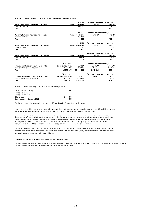#### NOTE 20. Financial instruments classification, grouped by valuation technique, TEUR

|                                                  |                            | 31 Dec 2021                | Fair value measurement at year end |               |
|--------------------------------------------------|----------------------------|----------------------------|------------------------------------|---------------|
| Recurring fair value measurements of assets      |                            | <b>Balance sheet value</b> | Level 1*                           | Level 2**     |
| Derivative contracts                             |                            | 170 200                    |                                    | 170 200       |
| Total                                            |                            | 170 200                    |                                    | 170 200       |
|                                                  |                            | 31 Dec 2020                | Fair value measurement at year end |               |
| Recurring fair value measurements of assets      |                            | <b>Balance sheet value</b> | Level 1*                           | Level 2**     |
| Derivative contracts                             |                            | 431 801                    |                                    | 431 801       |
| Total                                            |                            | 431 801                    |                                    | 431 801       |
|                                                  |                            | 31 Dec 2021                | Fair value measurement at year end |               |
| Recurring fair value measurements of liabilities |                            | <b>Balance sheet value</b> | Level 1*                           | Level 2**     |
| Derivative contracts                             |                            | 52 966                     |                                    | 52 966        |
| Total                                            |                            | 52 966                     |                                    | 52 966        |
|                                                  |                            | 31 Dec 2020                | Fair value measurement at year end |               |
| Recurring fair value measurements of liabilities |                            | <b>Balance sheet value</b> | Level 1*                           | Level 2**     |
| Derivative contracts                             |                            | 14 908                     |                                    | 14 908        |
| Total                                            |                            | 14 908                     |                                    | 14 908        |
|                                                  | 31 Dec 2021                |                            | Fair value measurement at year end |               |
| Financial liabilities not measured at fair value | <b>Balance sheet value</b> | Level 1*                   | Level 2**                          | Level 3***    |
| Debt securities issued to the public             | 16 579 276                 | 11 498 066                 | 1 272 815                          | 4 0 3 6 3 8 8 |
| Total                                            | 16 579 276                 | 11 498 066                 | 1 272 815                          | 4 036 388     |
|                                                  | 31 Dec 2020                |                            | Fair value measurement at year end |               |
| Financial liabilities not measured at fair value | <b>Balance sheet value</b> | Level 1*                   | Level 2**                          | Level 3***    |
| Debt securities issued to the public             | 14 095 017                 | 13 639 467                 |                                    | 962 395       |
| Total                                            | 14 095 017                 | 13 639 467                 |                                    | 962 395       |
|                                                  |                            |                            |                                    |               |

Valuation techniques whose input parameters involve uncertainty (Level 3)

| Opening balance 1 January 2021   | 962 395   |
|----------------------------------|-----------|
| Transfers to level 3             |           |
| Transfers from level 3           |           |
| Other changes                    | 3073993   |
| Closing balance 31 December 2021 | 4 036 388 |
|                                  |           |

The line Other change includes bonds on hierarchy level 3 issued by OP MB during the reporting period.

\*Level 1 includes equities listed on major stock exchanges, quoted debt instruments issued by companies, governments and financial institutions as well as exchange-traded derivatives. The fair value of these instruments is determined on the basis of market quotes.

\*\* Valuation techniques based on observable input parameters. The fair value of the instruments included within Level 2 means value derived from the market price of a financial instrument's components or similar financial instruments; or value which can be determined using commonly used valuation models and techniques if the inputs significant to the fair value measurement are based on observable market data. The fair value hierarchy level at OP Financial Group's includes OTC derivatives, quoted debt instruments issued by companies, governments and financial institutions which have not been included in Level 1, and repo agreements as well as securities lent or borrowed.

\*\*\* Valuation techniques whose input parameters involve uncertainty. The fair value determination of the instrumets included in Level 3 contains inputs no based on observable market data. Level 3 also includes bonds for which there is little, if any, market activity on the valuation date. Level 3 fair value is based on pricing information from a third party.

#### Transfers between hierarchy levels of recurring fair value measurements

Transfers between the levels of the fair value hierarchy are considered to take place on the date when an event causes such transfer or when circumstances change. Transfers between the levels are mainly due to the number of available market quotes.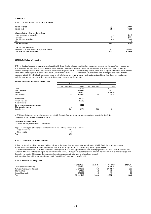#### OTHER NOTES

#### NOTE 21. NOTES TO THE CASH FLOW STATEMENT

| Interest received<br>Interest paid                     | $-28063$<br>71 122 | 17884<br>6 3 1 8 |
|--------------------------------------------------------|--------------------|------------------|
| Adjustments to profit for the financial year           |                    |                  |
| Impairment losses on receivables                       | 509                | 1649             |
| Income tax                                             | 1 3 4 1            | 1594             |
| Price difference recognised                            | $-16471$           | 6.046            |
| Other                                                  | $-19$              | 12               |
| <b>Total adjustments</b>                               | $-14640$           | 9 3 0 2          |
| Cash and cash equivalents                              |                    |                  |
| Receivables from credit institutions payable on demand | 102 402            | 214 695          |
| Total cash and cash equivalents                        | 102 402            | 214 695          |

#### NOTE 22. Related party transactions

OP MB's related parties comprise companies consolidated into OP Cooperative Consolidated, associates, key management personnel and their close family members, and other related-party entities. The company's key management personnel comprises the Managing Director, Deputy Managing Director and members of the Board of Directors. Related parties also include companies over which a key management person or their close family member, either alone or together with another person, exercise control. Other entities regarded as related parties include OP Bank Group Pension Fund and OP Financial Group Personnel Fund. Related parties have been defined in accordance with IAS 24. Related party transactions consist of paid salaries and fees as well as ordinary business transactions. Standard loan terms and conditions are applied to loans granted to related parties. Loans are tied to generally used reference interest rates

#### Business transactions with related parties, TEUR

|                                    | 2021           |           |                 | 2020      |
|------------------------------------|----------------|-----------|-----------------|-----------|
|                                    | OP Cooperative | Other     | OP Cooperative  | Other     |
| Loans                              |                | 2863769   |                 | 2 375 757 |
| Other receivables                  |                | 188 693   |                 | 462 432   |
| Deposits                           |                | 1 570 000 |                 | 1 500 000 |
| Other liabilities                  | 75             | 3890959   | 14 <sub>1</sub> | 844 975   |
|                                    |                |           |                 |           |
| Interest income                    |                | 12 3 9 2  |                 | 12 155    |
| Interest expenses                  |                | 15 205    |                 | 144 201   |
| Dividend income                    |                |           |                 |           |
| Net commission income and expenses |                | $-5516$   |                 | $-4060$   |
| Other operating income             |                |           |                 |           |
| Operating costs                    | 1632           | 3 1 3 4   | 798             | 2 0 0 5   |

All OP MB's derivative contracts have been entered into with OP Corporate Bank plc. Data on derivative contracts are presented in Note 3 Net interest income and in Note 10 Derivative contracts.

#### Shares held by related parties

The parent company holds all of the 76,592 shares.

Wages and salaries paid to Managing Director Sanna Erikson and her fringe benefits were, as follows:

| wages and salaries | 131 |
|--------------------|-----|
| fringe benefits    |     |
| Total              | 132 |

#### NOTE 23. Events after the balance sheet date

OP Financial Group has decided to apply an RWA floor – based on the standardised approach – in the second quarter of 2022. This is due to enhanced regulatory requirements and discussions with the European Central Bank (ECB) on the application of the Internal Ratings Based Approach (IRBA). The floor will be applied within OP Financial Group in the second quarter of 2022. After application of the floor, OP Mortgage Bank's CET1 ratio will be an estimated 30%. Application of the floor is a temporary capital measure which will not affect OP Mortgage Bank's good risk position. The impact of the floor will be eliminated in stages over the coming years, as the ECB approves the Group's development measures regarding the Internal Ratings Based Approach. Application of the floor will have no material impact on OP Financial Group's bond issuance plan for 2022

#### NOTE 24. Structure of funding, TEUR

|                                      | 31 Dec 2021 | Share, % | Dec 2020<br>31 | Share, % |
|--------------------------------------|-------------|----------|----------------|----------|
| Liabilities to credit institutions   | 1 570 000   | 8.5      | 1 500 000      | 9.4      |
| Debt securities issued to the public | 16 579 276  | 89.4     | 14 095 017     | 88,1     |
| Other liabilities                    | 27893       | 0,2      | 25 267         | 0,2      |
| Shareholders' equity                 | 370 077     | 2.0      | 371 093        | 2,3      |
| Total                                | 18 547 246  | 100.0    | 15 991 376     | 100,0    |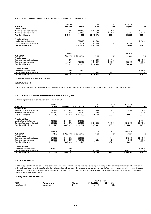#### NOTE 25. Maturity distribution of financial assets and liabilities by residual term to maturity, TEUR

|                                      | Less than |             | $1 - 5$    | $5 - 10$    | More than |            |
|--------------------------------------|-----------|-------------|------------|-------------|-----------|------------|
| 31 Dec 2021                          | 3 months  | 3-12 months | vears      | vears       | 10 years  | Total      |
| <b>Financial assets</b>              |           |             |            |             |           |            |
| Receivables from credit institutions | 123835    | 110 000     | 9 032 800  | 5 548 000   |           | 14 814 635 |
| Receivables from customers           | 117859    | 353 590     | 1 542 672  | 1 075 924   | 492 983   | 3 583 028  |
| <b>Total financial assets</b>        | 241 693   | 463 590     | 10 575 472 | 6 623 924   | 492 983   | 18 397 663 |
| <b>Financial liabilities</b>         |           |             |            |             |           |            |
| Liabilities to credit institutions   |           | 570 000     | 1 000 000  |             |           | 1570000    |
| Debt securities issued to the public |           | 500 252     | 9 399 739  | 5 555 326   | 123 960   | 16 579 276 |
| <b>Total financial liabilities</b>   |           | 2070252     | 10 399 739 | 5 5 5 3 2 6 | 123 960   | 18 149 276 |

|                                      | Less than |             | $1 - 5$   | $5 - 10$  | More than |            |
|--------------------------------------|-----------|-------------|-----------|-----------|-----------|------------|
| 31 Dec 2020                          | 3 months  | 3-12 months | vears     | years     | 10 year   | Total      |
| <b>Financial assets</b>              |           |             |           |           |           |            |
| Receivables from credit institutions | 218 877   |             | 5 142 800 | 5 647 150 |           | 11 008 827 |
| Receivables from customers           | 132 153   | 416 600     | 861859    | 1 381 331 | 739 180   | 4 531 123  |
| <b>Total financial assets</b>        | 351 029   | 416 600     | 7004659   | 7028481   | 739 180   | 15 539 949 |
| <b>Financial liabilities</b>         |           |             |           |           |           |            |
| Liabilities to credit institutions   | 100 000   | 400 000     |           |           |           | 500 000    |
| Debt securities issued to the public | 999 797   |             | 7 285 944 | 5 809 276 |           | 14 095 017 |
| <b>Total financial liabilities</b>   | 1 099 797 | 400 000     | 7 285 944 | 5809276   |           | 15 595 017 |

The presented cash flows have not been discounted.

#### NOTE 26. Funding risk

OP Financial Group's liquidity management has been centralised within OP Corporate Bank which is OP Mortgage Bank can also exploit OP Financial Group's liquidity buffer.

#### NOTE 27. Maturity of financial assets and liabilities by due date or repricing, TEUR

Contractual repricing dates or earlier due dates on 31 December 2021.

|                                      | month     |            |                                | $> 1 - 2$ | $> 2 - 5$     | More than |               |
|--------------------------------------|-----------|------------|--------------------------------|-----------|---------------|-----------|---------------|
| 31 Dec 2021                          | or less   |            | $> 1-3$ months $> 3-12$ months | years     | years         | 5 years   | Total         |
| <b>Financial assets</b>              |           |            |                                |           |               |           |               |
| Receivables from credit institutions | 977 452   | 10 345 983 | 2 830 150                      | 199 650   | 334 200       | 127 200   | 14 814 635    |
| Receivables from customers           | 711 558   | 895 070    | 1970749                        | 923       | 990           | 2 7 3 7   | 3 583 028     |
| <b>Total financial assets</b>        | 689 010   | 11 241 053 | 4 800 899                      | 200 573   | 336 190       | 129 937   | 18 397 663    |
| <b>Financial liabilities</b>         |           |            |                                |           |               |           |               |
| Liabilities to credit institutions   | 400 000   | 1 000 000  | 170 000                        |           |               |           | 1570000       |
| Debt securities issued to the public | 934 219   | 3 043 071  | 999 507                        | 2 247 862 | 4 108 805     | 5 245 811 | 16 579 276    |
| <b>Total financial liabilities</b>   | 334 219   | 4 043 071  | 1 169 507                      | 2 247 862 | 4 108 805     | 5 245 811 | 18 149 276    |
|                                      | month     |            |                                | $> 1 - 2$ | $> 2 - 5$     | More than |               |
| 31 Dec 2020                          | or less   |            | $> 1-3$ months $> 3-12$ months | vears     | years         | 5 years   | Total         |
| <b>Financial assets</b>              |           |            |                                |           |               |           |               |
| Receivables from credit institutions | 1 074 195 | 6 479 632  | 2 830 150                      |           | 484 850       | 140 000   | 11 008 827    |
| Receivables from customers           | 925 395   | 1 128 267  | 2 468 099                      | 3 1 2 1   | 2 7 5 0       | 3 4 9 1   | 4 5 3 1 1 2 3 |
| Total financial assets               | 999 590   | 7 607 898  | 5 298 249                      | 3 1 2 1   | 487 600       | 143 491   | 15 539 949    |
| <b>Financial liabilities</b>         |           |            |                                |           |               |           |               |
| Liabilities to credit institutions   | 400 000   | 1 100 000  |                                |           |               |           | 1 500 000     |
| Debt securities issued to the public |           | 999 797    |                                | 998 790   | 5 3 5 2 7 5 0 | 5 498 253 | 14 095 017    |
| <b>Total financial liabilities</b>   | 645 427   | 2 099 797  |                                | 998 790   | 5 352 750     | 5 498 253 | 15 595 017    |

#### NOTE 29. Interest rate risk

At OP Mortgage Bank, the interest rate risk indicator applied is a key figure in which the effect of a parallel 1 percentage point change in the interest rate on the present value of the banking book excluding customer margin is proportioned to the Bank's capital base. The present value is calculated and reported every month. At the end of the year, the value of the key figure was –0.46%. Interest rate risk can be considered low. The interest rate risk comes mainly from the differences of the loan portfolio available for use as collateral for bonds and its interest rate linkages as well as the company's equity.

#### Sensitivity analysis for interest rate risk

|                                  |                     | Impact on equity |             |                            |  |
|----------------------------------|---------------------|------------------|-------------|----------------------------|--|
| <b>TEUR</b>                      | Risk<br>. parameter | Change           | 31 Dec 2021 | : 2020<br><b>Der</b>       |  |
| Interes <sup>®</sup><br>ate risk | 'nterest rate<br>.  | pp               | 1012,6      | 3830<br><b>JOJY,C</b><br>. |  |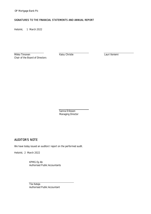### SIGNATURES TO THE FINANCIAL STATEMENTS AND ANNUAL REPORT

Helsinki, 1 March 2022

Mikko Timonen **Kaisu Christie** Kaisu Christie Lauri Iloniemi Chair of the Board of Directors

Sanna Eriksson Managing Director

# AUDITOR'S NOTE

We have today issued an auditors' report on the performed audit.

Helsinki, 2 March 2022

KPMG Oy Ab Authorised Public Accountants

Tiia Kataja Authorised Public Accountant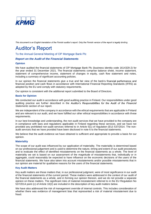

This document is an English translation of the Finnish auditor's report. Only the Finnish version of the report is legally binding.

# **Auditor's Report**

To the Annual General Meeting of OP Mortgage Bank Plc

### *Report on the Audit of the Financial Statements*

#### **Opinion**

We have audited the financial statements of OP Mortgage Bank Plc (business identity code 1614329-2) for the year ended 31 December 2021. The financial statements comprise balance sheet, income statement, statement of comprehensive income, statement of changes in equity, cash flow statement and notes, including a summary of significant accounting policies.

In our opinion the financial statements give a true and fair view of the bank's financial performance and financial position and cash flows in accordance with International Financial Reporting Standards (IFRS) as adopted by the EU and comply with statutory requirements.

Our opinion is consistent with the additional report submitted to the Board of Directors.

#### **Basis for Opinion**

We conducted our audit in accordance with good auditing practice in Finland. Our responsibilities under good auditing practice are further described in the *Auditor's Responsibilities for the Audit of the Financial Statements* section of our report.

We are independent of the company in accordance with the ethical requirements that are applicable in Finland and are relevant to our audit, and we have fulfilled our other ethical responsibilities in accordance with these requirements.

In our best knowledge and understanding, the non-audit services that we have provided to the company are in compliance with laws and regulations applicable in Finland regarding these services, and we have not provided any prohibited non-audit services referred to in Article 5(1) of regulation (EU) 537/2014. The nonaudit services that we have provided have been disclosed in note 6 to the financial statements.

We believe that the audit evidence we have obtained is sufficient and appropriate to provide a basis for our opinion.

#### **Materiality**

The scope of our audit was influenced by our application of materiality. The materiality is determined based on our professional judgement and is used to determine the nature, timing and extent of our audit procedures and to evaluate the effect of identified misstatements on the financial statements as a whole. The level of materiality we set is based on our assessment of the magnitude of misstatements that, individually or in aggregate, could reasonably be expected to have influence on the economic decisions of the users of the financial statements. We have also taken into account misstatements and/or possible misstatements that in our opinion are material for qualitative reasons for the users of the financial statements.

#### **Key Audit Matters**

Key audit matters are those matters that, in our professional judgment, were of most significance in our audit of the financial statements of the current period. These matters were addressed in the context of our audit of the financial statements as a whole, and in forming our opinion thereon, and we do not provide a separate opinion on these matters. The significant risks of material misstatement referred to in the EU Regulation No 537/2014 point (c) of Article 10(2) are included in the description of key audit matters below.

We have also addressed the risk of management override of internal controls. This includes consideration of whether there was evidence of management bias that represented a risk of material misstatement due to fraud.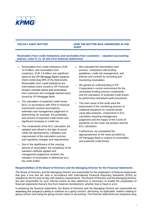

#### **THE KEY AUDIT MATTER HOW THE MATTER WAS ADDRESSED IN THE AUDIT**

### Receivables from credit institutions and receivables from customers - valuation (accounting **policies, notes 9, 11, 16 and 19 to financial statements)**

- Receivables from credit institutions, EUR 14.8 billion, and receivables from customers, EUR 3.6 billion, are significant items on the OP Mortgage Bank's balance sheet comprising 99% of the total assets. Receivables from credit institutions are intermediary loans issued to OP Financial Group's member banks and receivables from customers are mortgage-backed loans issued by OP Mortgage Bank.
- The calculation of expected credit losses (ECL) in accordance with IFRS 9 *Financial Instruments* involves assumptions, estimates and management judgement in determining, for example, the probability and amount of expected credit losses and significant increases in credit risk.
- The components of the ECL calculation are updated and refined in the light of actual credit risk developments, validation and improvement of the calculation process, and regulatory changes and requirements.
- Due to the significance of the carrying amount of receivables, the complexity of the valuation methods applied and management judgement involved, the valuation of receivables is addressed as a key audit matter.
- We evaluated the intermediary loan process, compliance with lending guidelines, credit risk management, and policies and controls for recording and monitoring receivables.
- We gained an understanding of OP Cooperative's control environment for the centralised lending process components and the calculation of expected credit losses by performing centralised audit procedures.
- The main areas of the audit were the assessment of the monitoring process of collateral valuations for covered bonds using data analyses, components in ECL calculation requiring management judgement and the impact of the Covid-19 pandemic on the credit risk position and the ECL calculation.
- Furthermore, we considered the appropriateness of the notes provided by OP Mortgage Bank in respect of receivables and expected credit losses.

#### **Responsibilities of the Board of Directors and the Managing Director for the Financial Statements**

The Board of Directors and the Managing Director are responsible for the preparation of financial statements that give a true and fair view in accordance with International Financial Reporting Standards (IFRS) as adopted by the EU and comply with statutory requirements. The Board of Directors and the Managing Director are also responsible for such internal control as they determine is necessary to enable the preparation of financial statements that are free from material misstatement, whether due to fraud or error.

In preparing the financial statements, the Board of Directors and the Managing Director are responsible for assessing the company's ability to continue as a going concern, disclosing, as applicable, matters relating to going concern and using the going concern basis of accounting. The financial statements are prepared using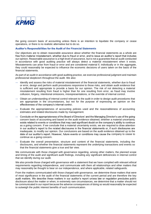

the going concern basis of accounting unless there is an intention to liquidate the company or cease operations, or there is no realistic alternative but to do so.

#### **Auditor's Responsibilities for the Audit of the Financial Statements**

Our objectives are to obtain reasonable assurance about whether the financial statements as a whole are free from material misstatement, whether due to fraud or error, and to issue an auditor's report that includes our opinion. Reasonable assurance is a high level of assurance, but is not a guarantee that an audit conducted in accordance with good auditing practice will always detect a material misstatement when it exists. Misstatements can arise from fraud or error and are considered material if, individually or in the aggregate, they could reasonably be expected to influence the economic decisions of users taken on the basis of the financial statements.

As part of an audit in accordance with good auditing practice, we exercise professional judgment and maintain professional skepticism throughout the audit. We also:

- Identify and assess the risks of material misstatement of the financial statements, whether due to fraud or error, design and perform audit procedures responsive to those risks, and obtain audit evidence that is sufficient and appropriate to provide a basis for our opinion. The risk of not detecting a material misstatement resulting from fraud is higher than for one resulting from error, as fraud may involve collusion, forgery, intentional omissions, misrepresentations, or the override of internal control.
- Obtain an understanding of internal control relevant to the audit in order to design audit procedures that are appropriate in the circumstances, but not for the purpose of expressing an opinion on the effectiveness of the company's internal control.
- Evaluate the appropriateness of accounting policies used and the reasonableness of accounting estimates and related disclosures made by management.
- Conclude on the appropriateness of the Board of Directors' and the Managing Director's use of the going concern basis of accounting and based on the audit evidence obtained, whether a material uncertainty exists related to events or conditions that may cast significant doubt on the company's ability to continue as a going concern. If we conclude that a material uncertainty exists, we are required to draw attention in our auditor's report to the related disclosures in the financial statements or, if such disclosures are inadequate, to modify our opinion. Our conclusions are based on the audit evidence obtained up to the date of our auditor's report. However, future events or conditions may cause the company to cease to continue as a going concern.
- Evaluate the overall presentation, structure and content of the financial statements, including the disclosures, and whether the financial statements represent the underlying transactions and events so that the financial statements give a true and fair view.

We communicate with those charged with governance regarding, among other matters, the planned scope and timing of the audit and significant audit findings, including any significant deficiencies in internal control that we identify during our audit.

We also provide those charged with governance with a statement that we have complied with relevant ethical requirements regarding independence, and communicate with them all relationships and other matters that may reasonably be thought to bear on our independence, and where applicable, related safeguards.

From the matters communicated with those charged with governance, we determine those matters that were of most significance in the audit of the financial statements of the current period and are therefore the key audit matters. We describe these matters in our auditor's report unless law or regulation precludes public disclosure about the matter or when, in extremely rare circumstances, we determine that a matter should not be communicated in our report because the adverse consequences of doing so would reasonably be expected to outweigh the public interest benefits of such communication.